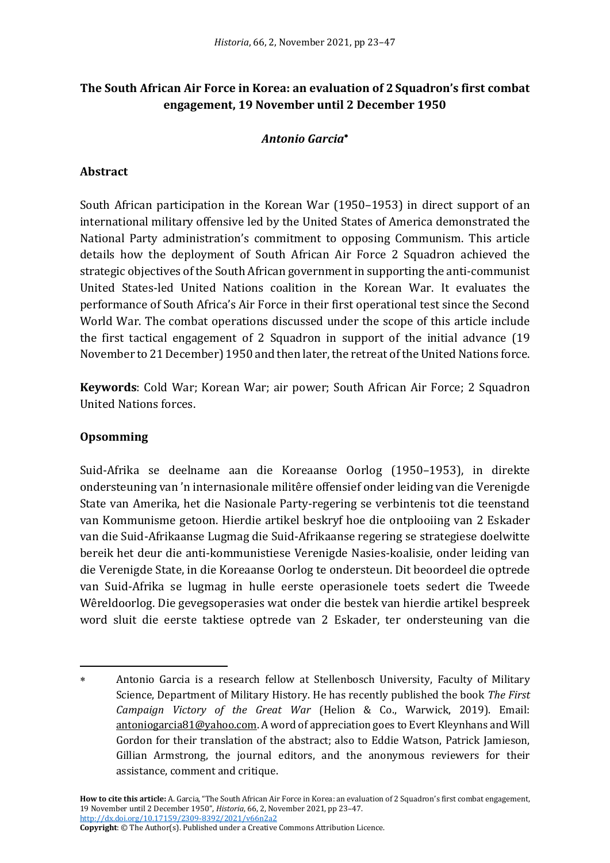# **The South African Air Force in Korea: an evaluation of 2 Squadron's first combat engagement, 19 November until 2 December 1950**

### *Antonio Garcia*

### **Abstract**

South African participation in the Korean War (1950–1953) in direct support of an international military offensive led by the United States of America demonstrated the National Party administration's commitment to opposing Communism. This article details how the deployment of South African Air Force 2 Squadron achieved the strategic objectives of the South African government in supporting the anti-communist United States-led United Nations coalition in the Korean War. It evaluates the performance of South Africa's Air Force in their first operational test since the Second World War. The combat operations discussed under the scope of this article include the first tactical engagement of 2 Squadron in support of the initial advance (19 November to 21 December) 1950 and then later, the retreat of the United Nations force.

**Keywords**: Cold War; Korean War; air power; South African Air Force; 2 Squadron United Nations forces.

#### **Opsomming**

Suid-Afrika se deelname aan die Koreaanse Oorlog (1950–1953), in direkte ondersteuning van 'n internasionale militêre offensief onder leiding van die Verenigde State van Amerika, het die Nasionale Party-regering se verbintenis tot die teenstand van Kommunisme getoon. Hierdie artikel beskryf hoe die ontplooiing van 2 Eskader van die Suid-Afrikaanse Lugmag die Suid-Afrikaanse regering se strategiese doelwitte bereik het deur die anti-kommunistiese Verenigde Nasies-koalisie, onder leiding van die Verenigde State, in die Koreaanse Oorlog te ondersteun. Dit beoordeel die optrede van Suid-Afrika se lugmag in hulle eerste operasionele toets sedert die Tweede Wêreldoorlog. Die gevegsoperasies wat onder die bestek van hierdie artikel bespreek word sluit die eerste taktiese optrede van 2 Eskader, ter ondersteuning van die

**How to cite this article:** A. Garcia, "The South African Air Force in Korea: an evaluation of 2 Squadron's first combat engagement, 19 November until 2 December 1950", *Historia*, 66, 2, November 2021, pp 23–47. <http://dx.doi.org/10.17159/2309-8392/2021/v66n2a2>

**Copyright**: © The Author(s). Published under a Creative Commons Attribution Licence.

Antonio Garcia is a research fellow at Stellenbosch University, Faculty of Military Science, Department of Military History. He has recently published the book *The First Campaign Victory of the Great War* (Helion & Co., Warwick, 2019). Email: antoniogarcia81@yahoo.com. A word of appreciation goes to Evert Kleynhans and Will Gordon for their translation of the abstract; also to Eddie Watson, Patrick Jamieson, Gillian Armstrong, the journal editors, and the anonymous reviewers for their assistance, comment and critique.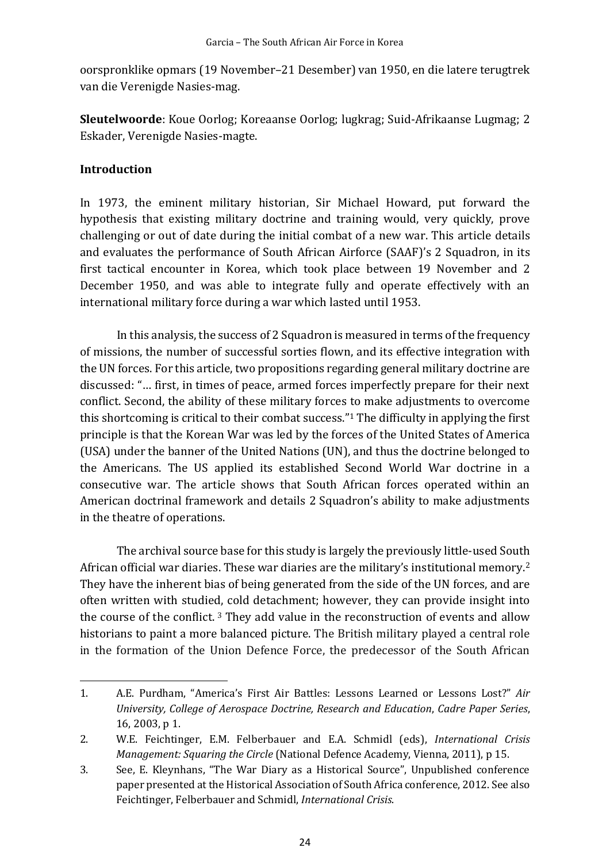oorspronklike opmars (19 November–21 Desember) van 1950, en die latere terugtrek van die Verenigde Nasies-mag.

**Sleutelwoorde**: Koue Oorlog; Koreaanse Oorlog; lugkrag; Suid-Afrikaanse Lugmag; 2 Eskader, Verenigde Nasies-magte.

## **Introduction**

In 1973, the eminent military historian, Sir Michael Howard, put forward the hypothesis that existing military doctrine and training would, very quickly, prove challenging or out of date during the initial combat of a new war. This article details and evaluates the performance of South African Airforce (SAAF)'s 2 Squadron, in its first tactical encounter in Korea, which took place between 19 November and 2 December 1950, and was able to integrate fully and operate effectively with an international military force during a war which lasted until 1953.

In this analysis, the success of 2 Squadron is measured in terms of the frequency of missions, the number of successful sorties flown, and its effective integration with the UN forces. For this article, two propositions regarding general military doctrine are discussed: "… first, in times of peace, armed forces imperfectly prepare for their next conflict. Second, the ability of these military forces to make adjustments to overcome this shortcoming is critical to their combat success."<sup>1</sup> The difficulty in applying the first principle is that the Korean War was led by the forces of the United States of America (USA) under the banner of the United Nations (UN), and thus the doctrine belonged to the Americans. The US applied its established Second World War doctrine in a consecutive war. The article shows that South African forces operated within an American doctrinal framework and details 2 Squadron's ability to make adjustments in the theatre of operations.

The archival source base for this study is largely the previously little-used South African official war diaries. These war diaries are the military's institutional memory.<sup>2</sup> They have the inherent bias of being generated from the side of the UN forces, and are often written with studied, cold detachment; however, they can provide insight into the course of the conflict. <sup>3</sup> They add value in the reconstruction of events and allow historians to paint a more balanced picture. The British military played a central role in the formation of the Union Defence Force, the predecessor of the South African

<sup>1.</sup> A.E. Purdham, "America's First Air Battles: Lessons Learned or Lessons Lost?" *Air University, College of Aerospace Doctrine, Research and Education*, *Cadre Paper Series*, 16, 2003, p 1.

<sup>2.</sup> W.E. Feichtinger, E.M. Felberbauer and E.A. Schmidl (eds), *International Crisis Management: Squaring the Circle* (National Defence Academy, Vienna, 2011), p 15.

<sup>3.</sup> See, E. Kleynhans, "The War Diary as a Historical Source", Unpublished conference paper presented at the Historical Association of South Africa conference, 2012. See also Feichtinger, Felberbauer and Schmidl, *International Crisis*.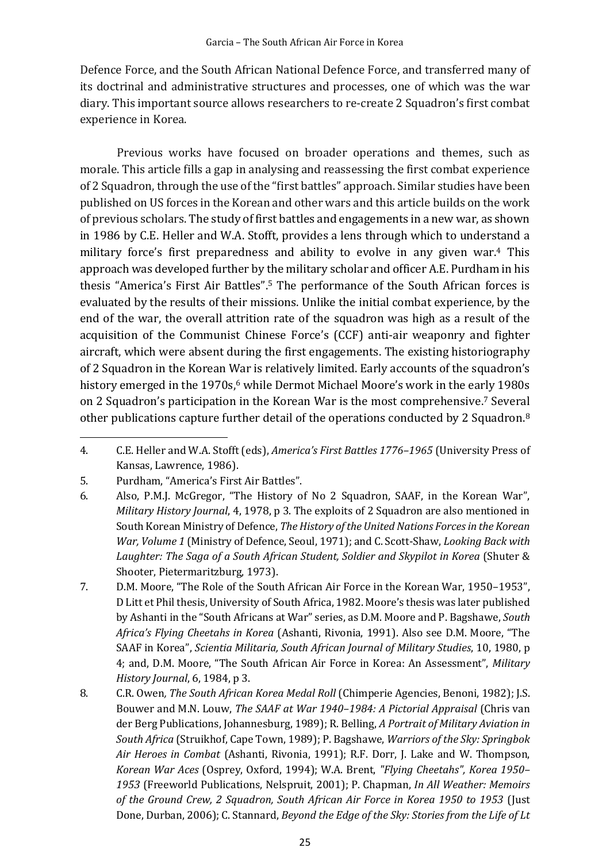Defence Force, and the South African National Defence Force, and transferred many of its doctrinal and administrative structures and processes, one of which was the war diary. This important source allows researchers to re-create 2 Squadron's first combat experience in Korea.

Previous works have focused on broader operations and themes, such as morale. This article fills a gap in analysing and reassessing the first combat experience of 2 Squadron, through the use of the "first battles" approach. Similar studies have been published on US forces in the Korean and other wars and this article builds on the work of previous scholars. The study of first battles and engagements in a new war, as shown in 1986 by C.E. Heller and W.A. Stofft, provides a lens through which to understand a military force's first preparedness and ability to evolve in any given war.<sup>4</sup> This approach was developed further by the military scholar and officer A.E. Purdham in his thesis "America's First Air Battles". <sup>5</sup> The performance of the South African forces is evaluated by the results of their missions. Unlike the initial combat experience, by the end of the war, the overall attrition rate of the squadron was high as a result of the acquisition of the Communist Chinese Force's (CCF) anti-air weaponry and fighter aircraft, which were absent during the first engagements. The existing historiography of 2 Squadron in the Korean War is relatively limited. Early accounts of the squadron's history emerged in the 1970s, <sup>6</sup> while Dermot Michael Moore's work in the early 1980s on 2 Squadron's participation in the Korean War is the most comprehensive. <sup>7</sup> Several other publications capture further detail of the operations conducted by 2 Squadron.<sup>8</sup>

<sup>4.</sup> C.E. Heller and W.A. Stofft (eds), *America's First Battles 1776–1965* (University Press of Kansas, Lawrence, 1986).

<sup>5.</sup> Purdham, "America's First Air Battles".

<sup>6.</sup> Also, P.M.J. McGregor, "The History of No 2 Squadron, SAAF, in the Korean War", *Military History Journal*, 4, 1978, p 3. The exploits of 2 Squadron are also mentioned in South Korean Ministry of Defence, *The History of the United Nations Forces in the Korean War, Volume 1* (Ministry of Defence, Seoul, 1971); and C. Scott-Shaw, *Looking Back with*  Laughter: The Saga of a South African Student, Soldier and Skypilot in Korea (Shuter & Shooter, Pietermaritzburg, 1973).

<sup>7.</sup> D.M. Moore, "The Role of the South African Air Force in the Korean War, 1950–1953", D Litt et Phil thesis, University of South Africa, 1982. Moore's thesis was later published by Ashanti in the "South Africans at War" series, as D.M. Moore and P. Bagshawe, *South Africa's Flying Cheetahs in Korea* (Ashanti, Rivonia, 1991). Also see D.M. Moore, "The SAAF in Korea", *Scientia Militaria, South African Journal of Military Studies*, 10, 1980, p 4; and, D.M. Moore, "The South African Air Force in Korea: An Assessment", *Military History Journal*, 6, 1984, p 3.

<sup>8.</sup> C.R. Owen*, The South African Korea Medal Roll* (Chimperie Agencies, Benoni, 1982); J.S. Bouwer and M.N. Louw, *The SAAF at War 1940–1984: A Pictorial Appraisal* (Chris van der Berg Publications, Johannesburg, 1989); R. Belling, *A Portrait of Military Aviation in South Africa* (Struikhof, Cape Town, 1989); P. Bagshawe, *Warriors of the Sky: Springbok Air Heroes in Combat* (Ashanti, Rivonia, 1991); R.F. Dorr, J. Lake and W. Thompson, *Korean War Aces* (Osprey, Oxford, 1994); W.A. Brent, *"Flying Cheetahs", Korea 1950– 1953* (Freeworld Publications, Nelspruit, 2001); P. Chapman, *In All Weather: Memoirs of the Ground Crew, 2 Squadron, South African Air Force in Korea 1950 to 1953* (Just Done, Durban, 2006); C. Stannard, *Beyond the Edge of the Sky: Stories from the Life of Lt*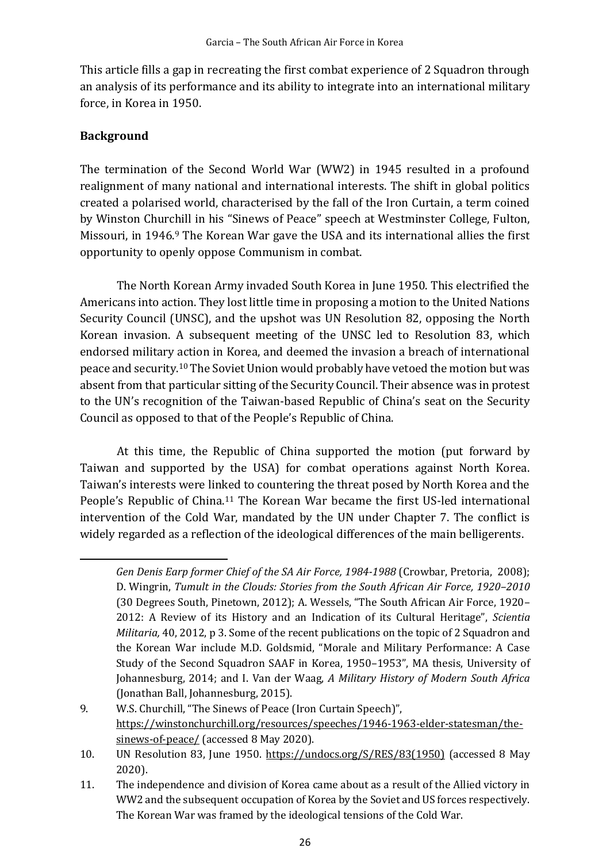This article fills a gap in recreating the first combat experience of 2 Squadron through an analysis of its performance and its ability to integrate into an international military force, in Korea in 1950.

# **Background**

The termination of the Second World War (WW2) in 1945 resulted in a profound realignment of many national and international interests. The shift in global politics created a polarised world, characterised by the fall of the Iron Curtain, a term coined by Winston Churchill in his "Sinews of Peace" speech at Westminster College, Fulton, Missouri, in 1946.<sup>9</sup> The Korean War gave the USA and its international allies the first opportunity to openly oppose Communism in combat.

The North Korean Army invaded South Korea in June 1950. This electrified the Americans into action. They lost little time in proposing a motion to the United Nations Security Council (UNSC), and the upshot was UN Resolution 82, opposing the North Korean invasion. A subsequent meeting of the UNSC led to Resolution 83, which endorsed military action in Korea, and deemed the invasion a breach of international peace and security.<sup>10</sup> The Soviet Union would probably have vetoed the motion but was absent from that particular sitting of the Security Council. Their absence was in protest to the UN's recognition of the Taiwan-based Republic of China's seat on the Security Council as opposed to that of the People's Republic of China.

At this time, the Republic of China supported the motion (put forward by Taiwan and supported by the USA) for combat operations against North Korea. Taiwan's interests were linked to countering the threat posed by North Korea and the People's Republic of China.<sup>11</sup> The Korean War became the first US-led international intervention of the Cold War, mandated by the UN under Chapter 7. The conflict is widely regarded as a reflection of the ideological differences of the main belligerents.

*Gen Denis Earp former Chief of the SA Air Force, 1984-1988* (Crowbar, Pretoria, 2008); D. Wingrin, *Tumult in the Clouds: Stories from the South African Air Force, 1920–2010* (30 Degrees South, Pinetown, 2012); A. Wessels, "The South African Air Force, 1920– 2012: A Review of its History and an Indication of its Cultural Heritage", *Scientia Militaria,* 40, 2012, p 3. Some of the recent publications on the topic of 2 Squadron and the Korean War include M.D. Goldsmid, "Morale and Military Performance: A Case Study of the Second Squadron SAAF in Korea, 1950–1953", MA thesis, University of Johannesburg, 2014; and I. Van der Waag, *A Military History of Modern South Africa* (Jonathan Ball, Johannesburg, 2015).

<sup>9.</sup> W.S. Churchill, "The Sinews of Peace (Iron Curtain Speech)", https://winstonchurchill.org/resources/speeches/1946-1963-elder-statesman/thesinews-of-peace/ (accessed 8 May 2020).

<sup>10.</sup> UN Resolution 83, June 1950. https://undocs.org/S/RES/83(1950) (accessed 8 May 2020).

<sup>11.</sup> The independence and division of Korea came about as a result of the Allied victory in WW2 and the subsequent occupation of Korea by the Soviet and US forces respectively. The Korean War was framed by the ideological tensions of the Cold War.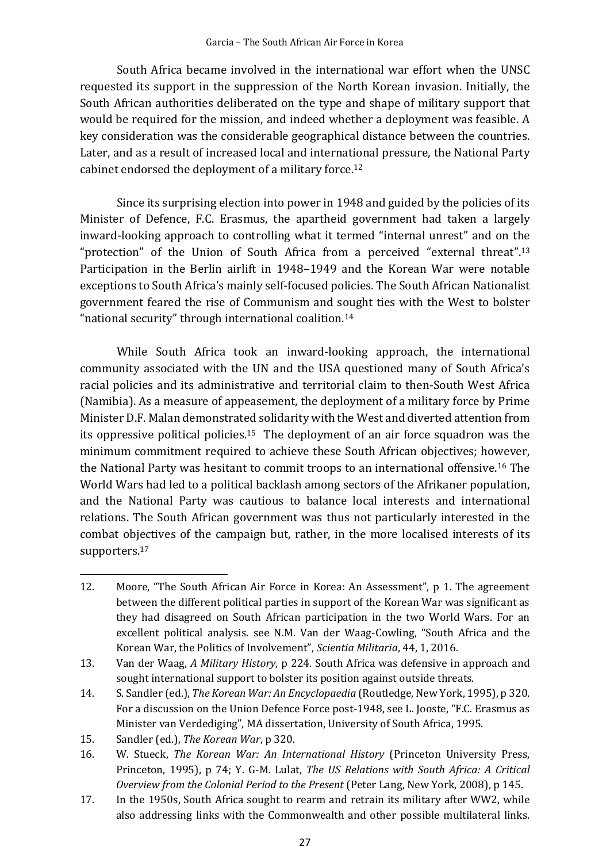South Africa became involved in the international war effort when the UNSC requested its support in the suppression of the North Korean invasion. Initially, the South African authorities deliberated on the type and shape of military support that would be required for the mission, and indeed whether a deployment was feasible. A key consideration was the considerable geographical distance between the countries. Later, and as a result of increased local and international pressure, the National Party cabinet endorsed the deployment of a military force. 12

Since its surprising election into power in 1948 and guided by the policies of its Minister of Defence, F.C. Erasmus, the apartheid government had taken a largely inward-looking approach to controlling what it termed "internal unrest" and on the "protection" of the Union of South Africa from a perceived "external threat".<sup>13</sup> Participation in the Berlin airlift in 1948–1949 and the Korean War were notable exceptions to South Africa's mainly self-focused policies. The South African Nationalist government feared the rise of Communism and sought ties with the West to bolster "national security" through international coalition.<sup>14</sup>

While South Africa took an inward-looking approach, the international community associated with the UN and the USA questioned many of South Africa's racial policies and its administrative and territorial claim to then-South West Africa (Namibia). As a measure of appeasement, the deployment of a military force by Prime Minister D.F. Malan demonstrated solidarity with the West and diverted attention from its oppressive political policies.<sup>15</sup> The deployment of an air force squadron was the minimum commitment required to achieve these South African objectives; however, the National Party was hesitant to commit troops to an international offensive.<sup>16</sup> The World Wars had led to a political backlash among sectors of the Afrikaner population, and the National Party was cautious to balance local interests and international relations. The South African government was thus not particularly interested in the combat objectives of the campaign but, rather, in the more localised interests of its supporters. 17

- 12. Moore, "The South African Air Force in Korea: An Assessment", p 1. The agreement between the different political parties in support of the Korean War was significant as they had disagreed on South African participation in the two World Wars. For an excellent political analysis. see N.M. Van der Waag-Cowling, "South Africa and the Korean War, the Politics of Involvement", *Scientia Militaria*, 44, 1, 2016.
- 13. Van der Waag, *A Military History*, p 224. South Africa was defensive in approach and sought international support to bolster its position against outside threats.
- 14. S. Sandler (ed.), *The Korean War: An Encyclopaedia* (Routledge, New York, 1995), p 320. For a discussion on the Union Defence Force post-1948, see L. Jooste, "F.C. Erasmus as Minister van Verdediging", MA dissertation, University of South Africa, 1995.
- 15. Sandler (ed.), *The Korean War*, p 320.
- 16. W. Stueck, *The Korean War: An International History* (Princeton University Press, Princeton, 1995), p 74; Y. G-M. Lulat, *The US Relations with South Africa: A Critical Overview from the Colonial Period to the Present* (Peter Lang, New York, 2008), p 145.
- 17. In the 1950s, South Africa sought to rearm and retrain its military after WW2, while also addressing links with the Commonwealth and other possible multilateral links.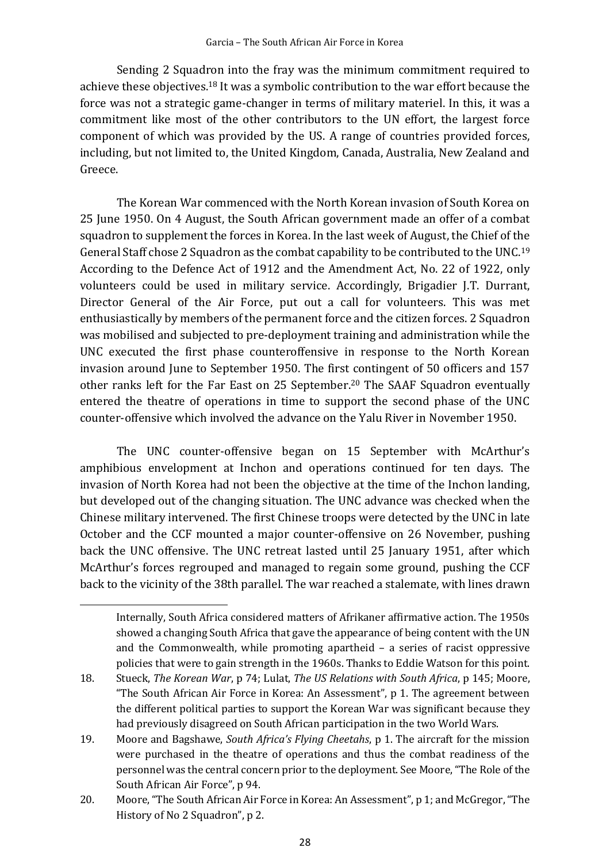Sending 2 Squadron into the fray was the minimum commitment required to achieve these objectives. <sup>18</sup> It was a symbolic contribution to the war effort because the force was not a strategic game-changer in terms of military materiel. In this, it was a commitment like most of the other contributors to the UN effort, the largest force component of which was provided by the US. A range of countries provided forces, including, but not limited to, the United Kingdom, Canada, Australia, New Zealand and Greece.

The Korean War commenced with the North Korean invasion of South Korea on 25 June 1950. On 4 August, the South African government made an offer of a combat squadron to supplement the forces in Korea. In the last week of August, the Chief of the General Staff chose 2 Squadron as the combat capability to be contributed to the UNC.<sup>19</sup> According to the Defence Act of 1912 and the Amendment Act, No. 22 of 1922, only volunteers could be used in military service. Accordingly, Brigadier J.T. Durrant, Director General of the Air Force, put out a call for volunteers. This was met enthusiastically by members of the permanent force and the citizen forces. 2 Squadron was mobilised and subjected to pre-deployment training and administration while the UNC executed the first phase counteroffensive in response to the North Korean invasion around June to September 1950. The first contingent of 50 officers and 157 other ranks left for the Far East on 25 September. <sup>20</sup> The SAAF Squadron eventually entered the theatre of operations in time to support the second phase of the UNC counter-offensive which involved the advance on the Yalu River in November 1950.

The UNC counter-offensive began on 15 September with McArthur's amphibious envelopment at Inchon and operations continued for ten days. The invasion of North Korea had not been the objective at the time of the Inchon landing, but developed out of the changing situation. The UNC advance was checked when the Chinese military intervened. The first Chinese troops were detected by the UNC in late October and the CCF mounted a major counter-offensive on 26 November, pushing back the UNC offensive. The UNC retreat lasted until 25 January 1951, after which McArthur's forces regrouped and managed to regain some ground, pushing the CCF back to the vicinity of the 38th parallel. The war reached a stalemate, with lines drawn

Internally, South Africa considered matters of Afrikaner affirmative action. The 1950s showed a changing South Africa that gave the appearance of being content with the UN and the Commonwealth, while promoting apartheid – a series of racist oppressive policies that were to gain strength in the 1960s. Thanks to Eddie Watson for this point.

<sup>18.</sup> Stueck, *The Korean War*, p 74; Lulat, *The US Relations with South Africa*, p 145; Moore, "The South African Air Force in Korea: An Assessment", p 1. The agreement between the different political parties to support the Korean War was significant because they had previously disagreed on South African participation in the two World Wars.

<sup>19.</sup> Moore and Bagshawe, *South Africa's Flying Cheetahs*, p 1. The aircraft for the mission were purchased in the theatre of operations and thus the combat readiness of the personnel was the central concern prior to the deployment. See Moore, "The Role of the South African Air Force", p 94.

<sup>20.</sup> Moore, "The South African Air Force in Korea: An Assessment", p 1; and McGregor, "The History of No 2 Squadron", p 2.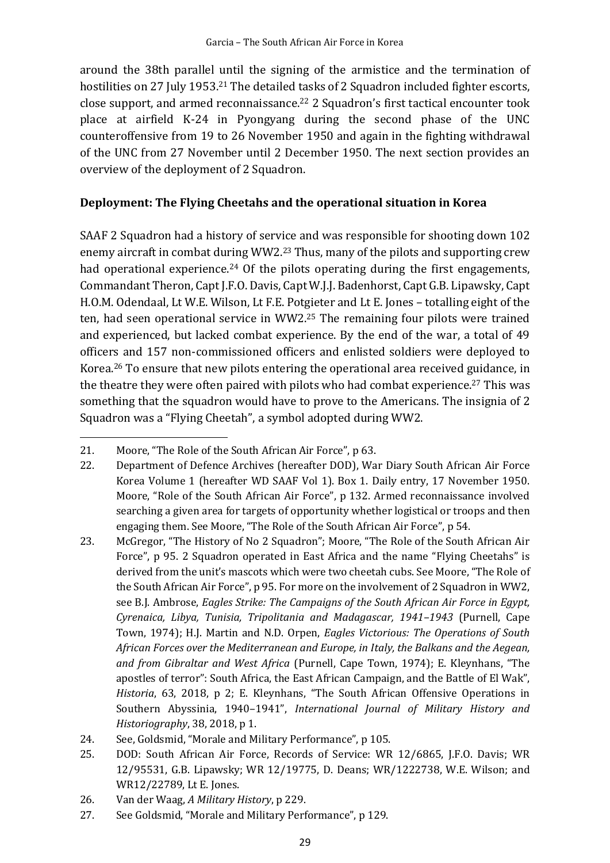around the 38th parallel until the signing of the armistice and the termination of hostilities on 27 July 1953.<sup>21</sup> The detailed tasks of 2 Squadron included fighter escorts, close support, and armed reconnaissance.<sup>22</sup> 2 Squadron's first tactical encounter took place at airfield K-24 in Pyongyang during the second phase of the UNC counteroffensive from 19 to 26 November 1950 and again in the fighting withdrawal of the UNC from 27 November until 2 December 1950. The next section provides an overview of the deployment of 2 Squadron.

## **Deployment: The Flying Cheetahs and the operational situation in Korea**

SAAF 2 Squadron had a history of service and was responsible for shooting down 102 enemy aircraft in combat during WW2. <sup>23</sup> Thus, many of the pilots and supporting crew had operational experience.<sup>24</sup> Of the pilots operating during the first engagements, Commandant Theron, Capt J.F.O. Davis, Capt W.J.J. Badenhorst, Capt G.B. Lipawsky, Capt H.O.M. Odendaal, Lt W.E. Wilson, Lt F.E. Potgieter and Lt E. Jones – totalling eight of the ten, had seen operational service in WW2. <sup>25</sup> The remaining four pilots were trained and experienced, but lacked combat experience. By the end of the war, a total of 49 officers and 157 non-commissioned officers and enlisted soldiers were deployed to Korea.<sup>26</sup> To ensure that new pilots entering the operational area received guidance, in the theatre they were often paired with pilots who had combat experience.<sup>27</sup> This was something that the squadron would have to prove to the Americans. The insignia of 2 Squadron was a "Flying Cheetah", a symbol adopted during WW2.

- 25. DOD: South African Air Force, Records of Service: WR 12/6865, J.F.O. Davis; WR 12/95531, G.B. Lipawsky; WR 12/19775, D. Deans; WR/1222738, W.E. Wilson; and WR12/22789, Lt E. Jones.
- 26. Van der Waag, *A Military History*, p 229.
- 27. See Goldsmid, "Morale and Military Performance", p 129.

<sup>21.</sup> Moore, "The Role of the South African Air Force", p 63.

<sup>22.</sup> Department of Defence Archives (hereafter DOD), War Diary South African Air Force Korea Volume 1 (hereafter WD SAAF Vol 1). Box 1. Daily entry, 17 November 1950. Moore, "Role of the South African Air Force", p 132. Armed reconnaissance involved searching a given area for targets of opportunity whether logistical or troops and then engaging them. See Moore, "The Role of the South African Air Force", p 54.

<sup>23.</sup> McGregor, "The History of No 2 Squadron"; Moore, "The Role of the South African Air Force", p 95. 2 Squadron operated in East Africa and the name "Flying Cheetahs" is derived from the unit's mascots which were two cheetah cubs. See Moore, "The Role of the South African Air Force", p 95. For more on the involvement of 2 Squadron in WW2, see B.J. Ambrose, *Eagles Strike: The Campaigns of the South African Air Force in Egypt, Cyrenaica, Libya, Tunisia, Tripolitania and Madagascar, 1941–1943* (Purnell, Cape Town, 1974); H.J. Martin and N.D. Orpen, *Eagles Victorious: The Operations of South African Forces over the Mediterranean and Europe, in Italy, the Balkans and the Aegean, and from Gibraltar and West Africa* (Purnell, Cape Town, 1974); E. Kleynhans, "The apostles of terror": South Africa, the East African Campaign, and the Battle of El Wak", *Historia*, 63, 2018, p 2; E. Kleynhans, "The South African Offensive Operations in Southern Abyssinia, 1940–1941", *International Journal of Military History and Historiography*, 38, 2018, p 1.

<sup>24.</sup> See, Goldsmid, "Morale and Military Performance", p 105.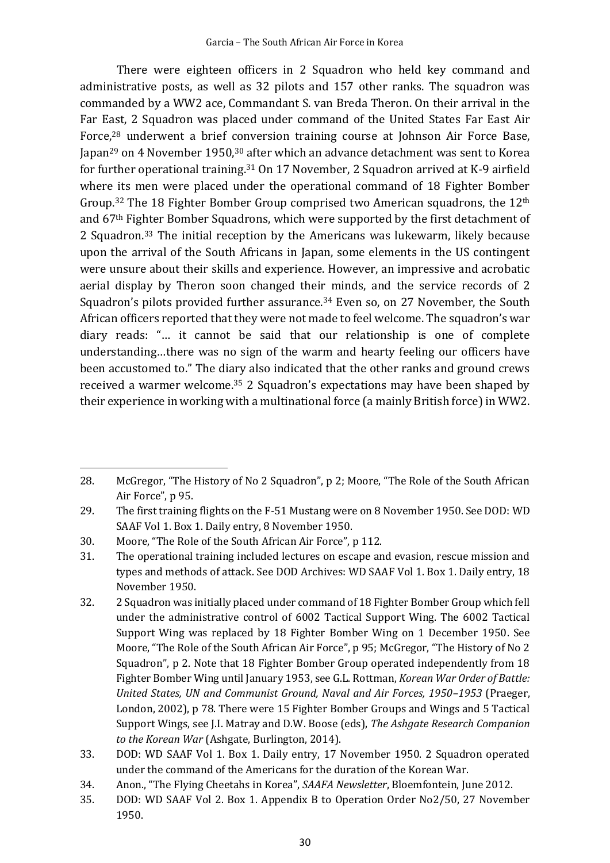There were eighteen officers in 2 Squadron who held key command and administrative posts, as well as 32 pilots and 157 other ranks. The squadron was commanded by a WW2 ace, Commandant S. van Breda Theron. On their arrival in the Far East, 2 Squadron was placed under command of the United States Far East Air Force, <sup>28</sup> underwent a brief conversion training course at Johnson Air Force Base, Japan<sup>29</sup> on 4 November 1950,<sup>30</sup> after which an advance detachment was sent to Korea for further operational training.<sup>31</sup> On 17 November, 2 Squadron arrived at K-9 airfield where its men were placed under the operational command of 18 Fighter Bomber Group. <sup>32</sup> The 18 Fighter Bomber Group comprised two American squadrons, the 12th and 67th Fighter Bomber Squadrons, which were supported by the first detachment of 2 Squadron.<sup>33</sup> The initial reception by the Americans was lukewarm, likely because upon the arrival of the South Africans in Japan, some elements in the US contingent were unsure about their skills and experience. However, an impressive and acrobatic aerial display by Theron soon changed their minds, and the service records of 2 Squadron's pilots provided further assurance.<sup>34</sup> Even so, on 27 November, the South African officers reported that they were not made to feel welcome. The squadron's war diary reads: "… it cannot be said that our relationship is one of complete understanding…there was no sign of the warm and hearty feeling our officers have been accustomed to." The diary also indicated that the other ranks and ground crews received a warmer welcome. <sup>35</sup> 2 Squadron's expectations may have been shaped by their experience in working with a multinational force (a mainly British force) in WW2.

<sup>28.</sup> McGregor, "The History of No 2 Squadron", p 2; Moore, "The Role of the South African Air Force", p 95.

<sup>29.</sup> The first training flights on the F-51 Mustang were on 8 November 1950. See DOD: WD SAAF Vol 1. Box 1. Daily entry, 8 November 1950.

<sup>30.</sup> Moore, "The Role of the South African Air Force", p 112.

<sup>31.</sup> The operational training included lectures on escape and evasion, rescue mission and types and methods of attack. See DOD Archives: WD SAAF Vol 1. Box 1. Daily entry, 18 November 1950.

<sup>32.</sup> 2 Squadron was initially placed under command of 18 Fighter Bomber Group which fell under the administrative control of 6002 Tactical Support Wing. The 6002 Tactical Support Wing was replaced by 18 Fighter Bomber Wing on 1 December 1950. See Moore, "The Role of the South African Air Force", p 95; McGregor, "The History of No 2 Squadron", p 2. Note that 18 Fighter Bomber Group operated independently from 18 Fighter Bomber Wing until January 1953, see G.L. Rottman, *Korean War Order of Battle: United States, UN and Communist Ground, Naval and Air Forces, 1950–1953* (Praeger, London, 2002), p 78. There were 15 Fighter Bomber Groups and Wings and 5 Tactical Support Wings, see J.I. Matray and D.W. Boose (eds), *The Ashgate Research Companion to the Korean War* (Ashgate, Burlington, 2014).

<sup>33.</sup> DOD: WD SAAF Vol 1. Box 1. Daily entry, 17 November 1950. 2 Squadron operated under the command of the Americans for the duration of the Korean War.

<sup>34.</sup> Anon., "The Flying Cheetahs in Korea", *SAAFA Newsletter*, Bloemfontein, June 2012.

<sup>35.</sup> DOD: WD SAAF Vol 2. Box 1. Appendix B to Operation Order No2/50, 27 November 1950.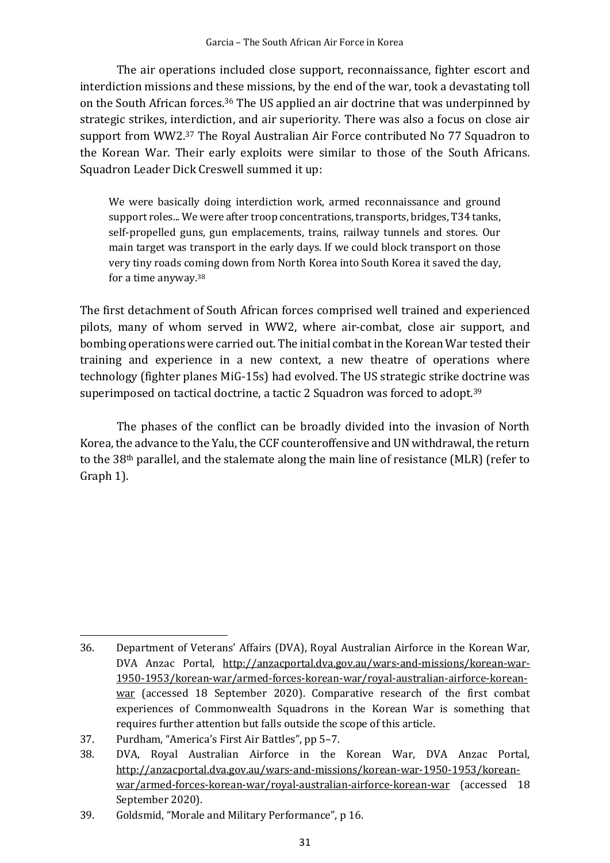The air operations included close support, reconnaissance, fighter escort and interdiction missions and these missions, by the end of the war, took a devastating toll on the South African forces.<sup>36</sup> The US applied an air doctrine that was underpinned by strategic strikes, interdiction, and air superiority. There was also a focus on close air support from WW2.<sup>37</sup> The Royal Australian Air Force contributed No 77 Squadron to the Korean War. Their early exploits were similar to those of the South Africans. Squadron Leader Dick Creswell summed it up:

We were basically doing interdiction work, armed reconnaissance and ground support roles... We were after troop concentrations, transports, bridges, T34 tanks, self-propelled guns, gun emplacements, trains, railway tunnels and stores. Our main target was transport in the early days. If we could block transport on those very tiny roads coming down from North Korea into South Korea it saved the day, for a time anyway.<sup>38</sup>

The first detachment of South African forces comprised well trained and experienced pilots, many of whom served in WW2, where air-combat, close air support, and bombing operations were carried out. The initial combat in the Korean War tested their training and experience in a new context, a new theatre of operations where technology (fighter planes MiG-15s) had evolved. The US strategic strike doctrine was superimposed on tactical doctrine, a tactic 2 Squadron was forced to adopt.<sup>39</sup>

The phases of the conflict can be broadly divided into the invasion of North Korea, the advance to the Yalu, the CCF counteroffensive and UN withdrawal, the return to the 38th parallel, and the stalemate along the main line of resistance (MLR) (refer to Graph 1).

<sup>36.</sup> Department of Veterans' Affairs (DVA), Royal Australian Airforce in the Korean War, DVA Anzac Portal, http://anzacportal.dva.gov.au/wars-and-missions/korean-war-1950-1953/korean-war/armed-forces-korean-war/royal-australian-airforce-koreanwar (accessed 18 September 2020). Comparative research of the first combat experiences of Commonwealth Squadrons in the Korean War is something that requires further attention but falls outside the scope of this article.

<sup>37.</sup> Purdham, "America's First Air Battles", pp 5–7.

<sup>38.</sup> DVA, Royal Australian Airforce in the Korean War, DVA Anzac Portal, http://anzacportal.dva.gov.au/wars-and-missions/korean-war-1950-1953/koreanwar/armed-forces-korean-war/royal-australian-airforce-korean-war (accessed 18 September 2020).

<sup>39.</sup> Goldsmid, "Morale and Military Performance", p 16.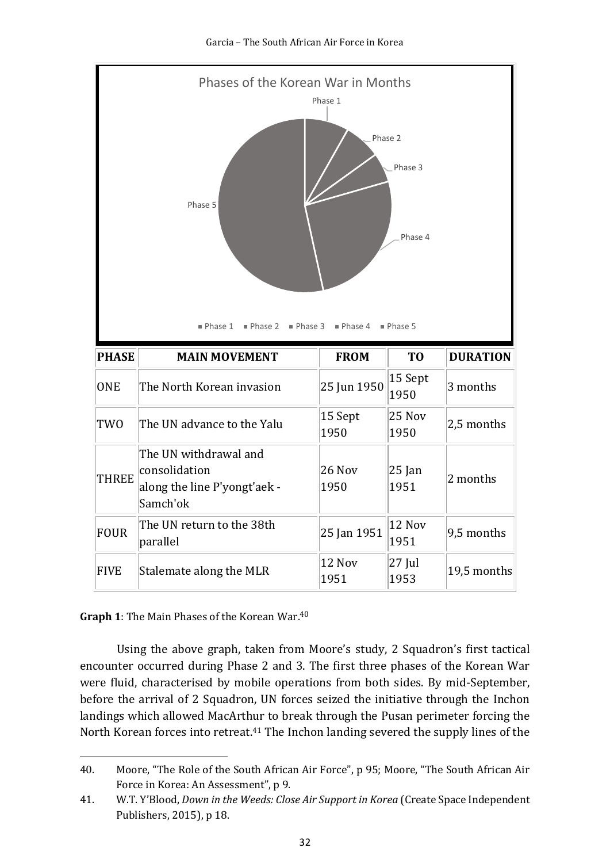

### **Graph 1**: The Main Phases of the Korean War. 40

Using the above graph, taken from Moore's study, 2 Squadron's first tactical encounter occurred during Phase 2 and 3. The first three phases of the Korean War were fluid, characterised by mobile operations from both sides. By mid-September, before the arrival of 2 Squadron, UN forces seized the initiative through the Inchon landings which allowed MacArthur to break through the Pusan perimeter forcing the North Korean forces into retreat.<sup>41</sup> The Inchon landing severed the supply lines of the

<sup>40.</sup> Moore, "The Role of the South African Air Force", p 95; Moore, "The South African Air Force in Korea: An Assessment", p 9.

<sup>41.</sup> W.T. Y'Blood, *Down in the Weeds: Close Air Support in Korea* (Create Space Independent Publishers, 2015), p 18.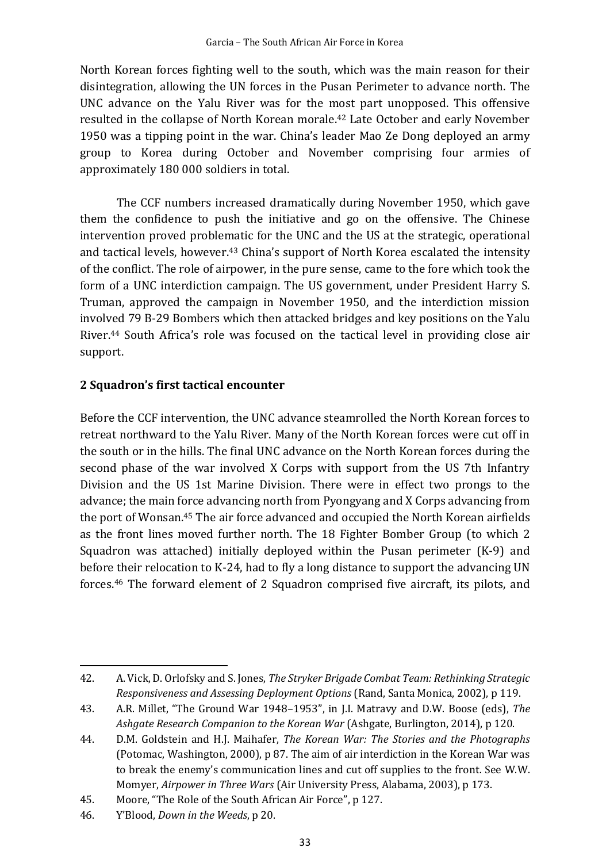North Korean forces fighting well to the south, which was the main reason for their disintegration, allowing the UN forces in the Pusan Perimeter to advance north. The UNC advance on the Yalu River was for the most part unopposed. This offensive resulted in the collapse of North Korean morale. <sup>42</sup> Late October and early November 1950 was a tipping point in the war. China's leader Mao Ze Dong deployed an army group to Korea during October and November comprising four armies of approximately 180 000 soldiers in total.

The CCF numbers increased dramatically during November 1950, which gave them the confidence to push the initiative and go on the offensive. The Chinese intervention proved problematic for the UNC and the US at the strategic, operational and tactical levels, however. <sup>43</sup> China's support of North Korea escalated the intensity of the conflict. The role of airpower, in the pure sense, came to the fore which took the form of a UNC interdiction campaign. The US government, under President Harry S. Truman, approved the campaign in November 1950, and the interdiction mission involved 79 B-29 Bombers which then attacked bridges and key positions on the Yalu River.<sup>44</sup> South Africa's role was focused on the tactical level in providing close air support.

## **2 Squadron's first tactical encounter**

Before the CCF intervention, the UNC advance steamrolled the North Korean forces to retreat northward to the Yalu River. Many of the North Korean forces were cut off in the south or in the hills. The final UNC advance on the North Korean forces during the second phase of the war involved X Corps with support from the US 7th Infantry Division and the US 1st Marine Division. There were in effect two prongs to the advance; the main force advancing north from Pyongyang and X Corps advancing from the port of Wonsan. <sup>45</sup> The air force advanced and occupied the North Korean airfields as the front lines moved further north. The 18 Fighter Bomber Group (to which 2 Squadron was attached) initially deployed within the Pusan perimeter (K-9) and before their relocation to K-24, had to fly a long distance to support the advancing UN forces.<sup>46</sup> The forward element of 2 Squadron comprised five aircraft, its pilots, and

<sup>42.</sup> A. Vick, D. Orlofsky and S. Jones, *The Stryker Brigade Combat Team: Rethinking Strategic Responsiveness and Assessing Deployment Options* (Rand, Santa Monica, 2002), p 119.

<sup>43.</sup> A.R. Millet, "The Ground War 1948–1953", in J.I. Matravy and D.W. Boose (eds), *The Ashgate Research Companion to the Korean War* (Ashgate, Burlington, 2014), p 120.

<sup>44.</sup> D.M. Goldstein and H.J. Maihafer, *The Korean War: The Stories and the Photographs* (Potomac, Washington, 2000), p 87. The aim of air interdiction in the Korean War was to break the enemy's communication lines and cut off supplies to the front. See W.W. Momyer, *Airpower in Three Wars* (Air University Press, Alabama, 2003), p 173.

<sup>45.</sup> Moore, "The Role of the South African Air Force", p 127.

<sup>46.</sup> Y'Blood, *Down in the Weeds*, p 20.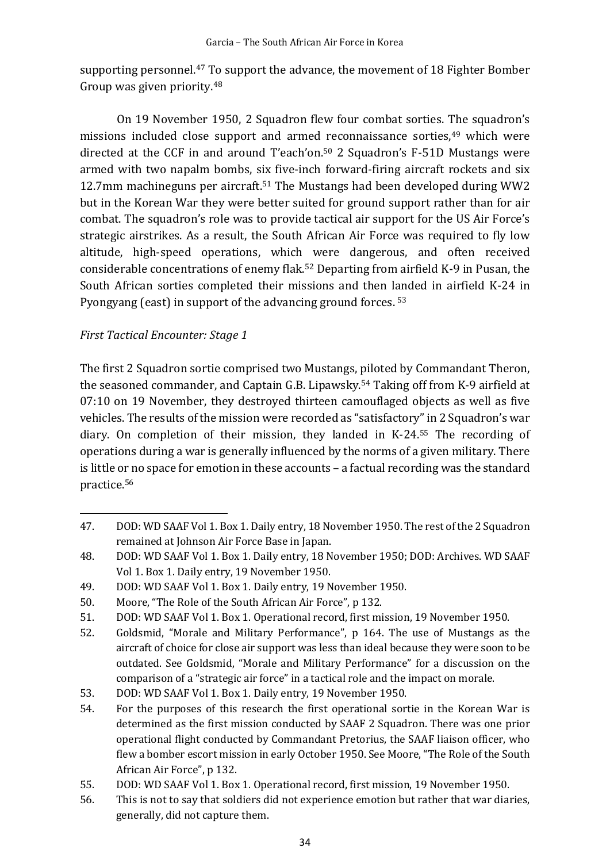supporting personnel. <sup>47</sup> To support the advance, the movement of 18 Fighter Bomber Group was given priority. 48

On 19 November 1950, 2 Squadron flew four combat sorties. The squadron's missions included close support and armed reconnaissance sorties, <sup>49</sup> which were directed at the CCF in and around T'each'on.<sup>50</sup> 2 Squadron's F-51D Mustangs were armed with two napalm bombs, six five-inch forward-firing aircraft rockets and six 12.7mm machineguns per aircraft.<sup>51</sup> The Mustangs had been developed during WW2 but in the Korean War they were better suited for ground support rather than for air combat. The squadron's role was to provide tactical air support for the US Air Force's strategic airstrikes. As a result, the South African Air Force was required to fly low altitude, high-speed operations, which were dangerous, and often received considerable concentrations of enemy flak.<sup>52</sup> Departing from airfield K-9 in Pusan, the South African sorties completed their missions and then landed in airfield K-24 in Pyongyang (east) in support of the advancing ground forces. <sup>53</sup>

# *First Tactical Encounter: Stage 1*

The first 2 Squadron sortie comprised two Mustangs, piloted by Commandant Theron, the seasoned commander, and Captain G.B. Lipawsky. <sup>54</sup> Taking off from K-9 airfield at 07:10 on 19 November, they destroyed thirteen camouflaged objects as well as five vehicles. The results of the mission were recorded as "satisfactory"in 2 Squadron's war diary. On completion of their mission, they landed in K-24. <sup>55</sup> The recording of operations during a war is generally influenced by the norms of a given military. There is little or no space for emotion in these accounts – a factual recording was the standard practice.<sup>56</sup>

<sup>47.</sup> DOD: WD SAAF Vol 1. Box 1. Daily entry, 18 November 1950. The rest of the 2 Squadron remained at Johnson Air Force Base in Japan.

<sup>48.</sup> DOD: WD SAAF Vol 1. Box 1. Daily entry, 18 November 1950; DOD: Archives. WD SAAF Vol 1. Box 1. Daily entry, 19 November 1950.

<sup>49.</sup> DOD: WD SAAF Vol 1. Box 1. Daily entry, 19 November 1950.

<sup>50.</sup> Moore, "The Role of the South African Air Force", p 132.

<sup>51.</sup> DOD: WD SAAF Vol 1. Box 1. Operational record, first mission, 19 November 1950.

<sup>52.</sup> Goldsmid, "Morale and Military Performance", p 164. The use of Mustangs as the aircraft of choice for close air support was less than ideal because they were soon to be outdated. See Goldsmid, "Morale and Military Performance" for a discussion on the comparison of a "strategic air force" in a tactical role and the impact on morale.

<sup>53.</sup> DOD: WD SAAF Vol 1. Box 1. Daily entry, 19 November 1950.

<sup>54.</sup> For the purposes of this research the first operational sortie in the Korean War is determined as the first mission conducted by SAAF 2 Squadron. There was one prior operational flight conducted by Commandant Pretorius, the SAAF liaison officer, who flew a bomber escort mission in early October 1950. See Moore, "The Role of the South African Air Force", p 132.

<sup>55.</sup> DOD: WD SAAF Vol 1. Box 1. Operational record, first mission, 19 November 1950.

<sup>56.</sup> This is not to say that soldiers did not experience emotion but rather that war diaries, generally, did not capture them.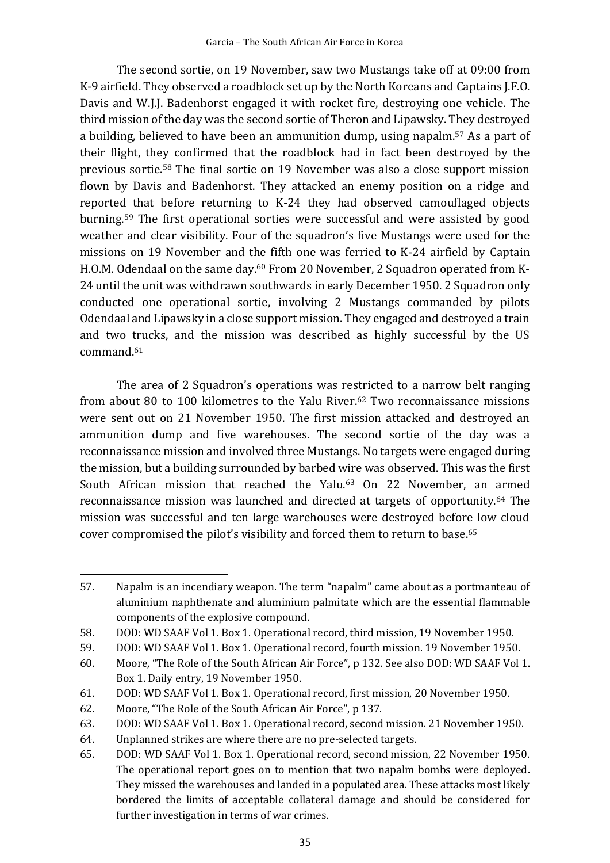The second sortie, on 19 November, saw two Mustangs take off at 09:00 from K-9 airfield. They observed a roadblock set up by the North Koreans and Captains J.F.O. Davis and W.J.J. Badenhorst engaged it with rocket fire, destroying one vehicle. The third mission of the day was the second sortie of Theron and Lipawsky. They destroyed a building, believed to have been an ammunition dump, using napalm. <sup>57</sup> As a part of their flight, they confirmed that the roadblock had in fact been destroyed by the previous sortie.<sup>58</sup> The final sortie on 19 November was also a close support mission flown by Davis and Badenhorst. They attacked an enemy position on a ridge and reported that before returning to K-24 they had observed camouflaged objects burning. <sup>59</sup> The first operational sorties were successful and were assisted by good weather and clear visibility. Four of the squadron's five Mustangs were used for the missions on 19 November and the fifth one was ferried to K-24 airfield by Captain H.O.M. Odendaal on the same day.<sup>60</sup> From 20 November, 2 Squadron operated from K-24 until the unit was withdrawn southwards in early December 1950. 2 Squadron only conducted one operational sortie, involving 2 Mustangs commanded by pilots Odendaal and Lipawsky in a close support mission. They engaged and destroyed a train and two trucks, and the mission was described as highly successful by the US command.<sup>61</sup>

The area of 2 Squadron's operations was restricted to a narrow belt ranging from about 80 to 100 kilometres to the Yalu River.<sup>62</sup> Two reconnaissance missions were sent out on 21 November 1950. The first mission attacked and destroyed an ammunition dump and five warehouses. The second sortie of the day was a reconnaissance mission and involved three Mustangs. No targets were engaged during the mission, but a building surrounded by barbed wire was observed. This was the first South African mission that reached the Yalu.<sup>63</sup> On 22 November, an armed reconnaissance mission was launched and directed at targets of opportunity.<sup>64</sup> The mission was successful and ten large warehouses were destroyed before low cloud cover compromised the pilot's visibility and forced them to return to base.<sup>65</sup>

<sup>57.</sup> Napalm is an incendiary weapon. The term "napalm" came about as a portmanteau of aluminium naphthenate and aluminium palmitate which are the essential flammable components of the explosive compound.

<sup>58.</sup> DOD: WD SAAF Vol 1. Box 1. Operational record, third mission, 19 November 1950.

<sup>59.</sup> DOD: WD SAAF Vol 1. Box 1. Operational record, fourth mission. 19 November 1950.

<sup>60.</sup> Moore, "The Role of the South African Air Force", p 132. See also DOD: WD SAAF Vol 1. Box 1. Daily entry, 19 November 1950.

<sup>61.</sup> DOD: WD SAAF Vol 1. Box 1. Operational record, first mission, 20 November 1950.

<sup>62.</sup> Moore, "The Role of the South African Air Force", p 137.

<sup>63.</sup> DOD: WD SAAF Vol 1. Box 1. Operational record, second mission. 21 November 1950.

<sup>64.</sup> Unplanned strikes are where there are no pre-selected targets.

<sup>65.</sup> DOD: WD SAAF Vol 1. Box 1. Operational record, second mission, 22 November 1950. The operational report goes on to mention that two napalm bombs were deployed. They missed the warehouses and landed in a populated area. These attacks most likely bordered the limits of acceptable collateral damage and should be considered for further investigation in terms of war crimes.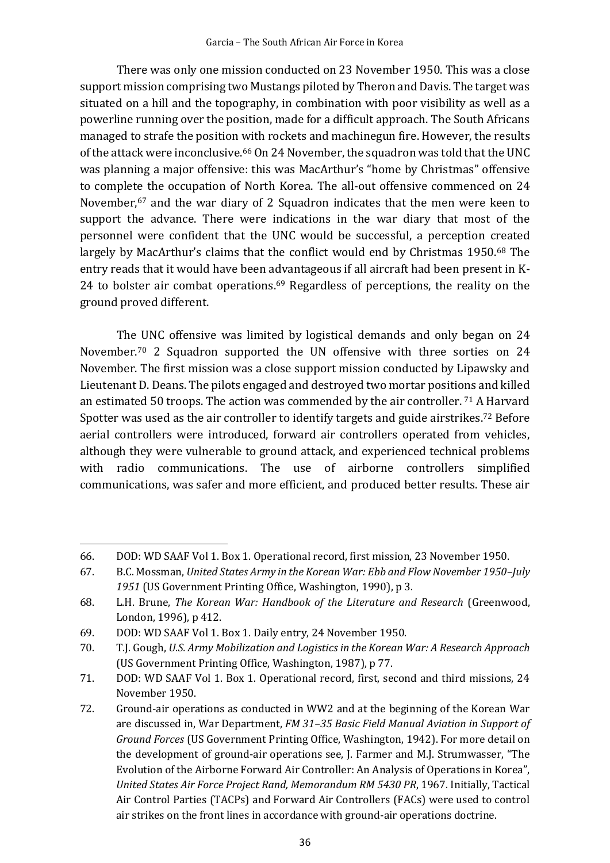There was only one mission conducted on 23 November 1950. This was a close support mission comprising two Mustangs piloted by Theron and Davis. The target was situated on a hill and the topography, in combination with poor visibility as well as a powerline running over the position, made for a difficult approach. The South Africans managed to strafe the position with rockets and machinegun fire. However, the results of the attack were inconclusive.<sup>66</sup> On 24 November, the squadron was told that the UNC was planning a major offensive: this was MacArthur's "home by Christmas" offensive to complete the occupation of North Korea. The all-out offensive commenced on 24 November, <sup>67</sup> and the war diary of 2 Squadron indicates that the men were keen to support the advance. There were indications in the war diary that most of the personnel were confident that the UNC would be successful, a perception created largely by MacArthur's claims that the conflict would end by Christmas 1950.<sup>68</sup> The entry reads that it would have been advantageous if all aircraft had been present in K-24 to bolster air combat operations. <sup>69</sup> Regardless of perceptions, the reality on the ground proved different.

The UNC offensive was limited by logistical demands and only began on 24 November.<sup>70</sup> 2 Squadron supported the UN offensive with three sorties on 24 November. The first mission was a close support mission conducted by Lipawsky and Lieutenant D. Deans. The pilots engaged and destroyed two mortar positions and killed an estimated 50 troops. The action was commended by the air controller. <sup>71</sup> A Harvard Spotter was used as the air controller to identify targets and guide airstrikes.<sup>72</sup> Before aerial controllers were introduced, forward air controllers operated from vehicles, although they were vulnerable to ground attack, and experienced technical problems with radio communications. The use of airborne controllers simplified communications, was safer and more efficient, and produced better results. These air

<sup>66.</sup> DOD: WD SAAF Vol 1. Box 1. Operational record, first mission, 23 November 1950.

<sup>67.</sup> B.C. Mossman, *United States Army in the Korean War: Ebb and Flow November 1950–July 1951* (US Government Printing Office, Washington, 1990), p 3.

<sup>68.</sup> L.H. Brune, *The Korean War: Handbook of the Literature and Research* (Greenwood, London, 1996), p 412.

<sup>69.</sup> DOD: WD SAAF Vol 1. Box 1. Daily entry, 24 November 1950.

<sup>70.</sup> T.J. Gough, *U.S. Army Mobilization and Logistics in the Korean War: A Research Approach*  (US Government Printing Office, Washington, 1987), p 77.

<sup>71.</sup> DOD: WD SAAF Vol 1. Box 1. Operational record, first, second and third missions, 24 November 1950.

<sup>72.</sup> Ground-air operations as conducted in WW2 and at the beginning of the Korean War are discussed in, War Department, *FM 31–35 Basic Field Manual Aviation in Support of Ground Forces* (US Government Printing Office, Washington, 1942). For more detail on the development of ground-air operations see, J. Farmer and M.J. Strumwasser, "The Evolution of the Airborne Forward Air Controller: An Analysis of Operations in Korea", *United States Air Force Project Rand, Memorandum RM 5430 PR*, 1967. Initially, Tactical Air Control Parties (TACPs) and Forward Air Controllers (FACs) were used to control air strikes on the front lines in accordance with ground-air operations doctrine.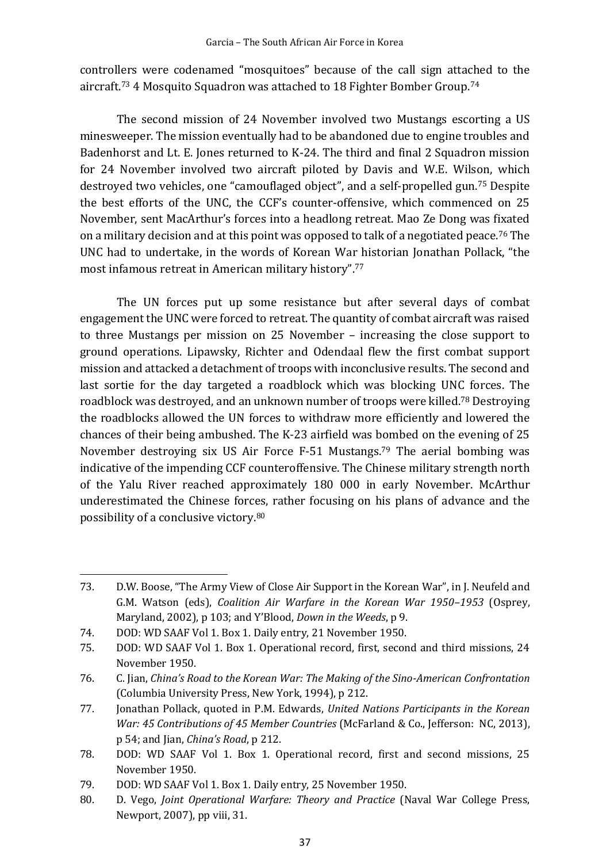controllers were codenamed "mosquitoes" because of the call sign attached to the aircraft.<sup>73</sup> 4 Mosquito Squadron was attached to 18 Fighter Bomber Group.<sup>74</sup>

The second mission of 24 November involved two Mustangs escorting a US minesweeper. The mission eventually had to be abandoned due to engine troubles and Badenhorst and Lt. E. Jones returned to K-24. The third and final 2 Squadron mission for 24 November involved two aircraft piloted by Davis and W.E. Wilson, which destroyed two vehicles, one "camouflaged object", and a self-propelled gun.<sup>75</sup> Despite the best efforts of the UNC, the CCF's counter-offensive, which commenced on 25 November, sent MacArthur's forces into a headlong retreat. Mao Ze Dong was fixated on a military decision and at this point was opposed to talk of a negotiated peace.<sup>76</sup> The UNC had to undertake, in the words of Korean War historian Jonathan Pollack, "the most infamous retreat in American military history". 77

The UN forces put up some resistance but after several days of combat engagement the UNC were forced to retreat. The quantity of combat aircraft was raised to three Mustangs per mission on 25 November – increasing the close support to ground operations. Lipawsky, Richter and Odendaal flew the first combat support mission and attacked a detachment of troops with inconclusive results. The second and last sortie for the day targeted a roadblock which was blocking UNC forces. The roadblock was destroyed, and an unknown number of troops were killed.<sup>78</sup> Destroying the roadblocks allowed the UN forces to withdraw more efficiently and lowered the chances of their being ambushed. The K-23 airfield was bombed on the evening of 25 November destroying six US Air Force F-51 Mustangs.<sup>79</sup> The aerial bombing was indicative of the impending CCF counteroffensive. The Chinese military strength north of the Yalu River reached approximately 180 000 in early November. McArthur underestimated the Chinese forces, rather focusing on his plans of advance and the possibility of a conclusive victory.<sup>80</sup>

<sup>73.</sup> D.W. Boose, "The Army View of Close Air Support in the Korean War", in J. Neufeld and G.M. Watson (eds), *Coalition Air Warfare in the Korean War 1950–1953* (Osprey, Maryland, 2002), p 103; and Y'Blood, *Down in the Weeds*, p 9.

<sup>74.</sup> DOD: WD SAAF Vol 1. Box 1. Daily entry, 21 November 1950.

<sup>75.</sup> DOD: WD SAAF Vol 1. Box 1. Operational record, first, second and third missions, 24 November 1950.

<sup>76.</sup> C. Jian, *China's Road to the Korean War: The Making of the Sino-American Confrontation* (Columbia University Press, New York, 1994), p 212.

<sup>77.</sup> Jonathan Pollack, quoted in P.M. Edwards, *United Nations Participants in the Korean War: 45 Contributions of 45 Member Countries* (McFarland & Co., Jefferson: NC, 2013), p 54; and Jian, *China's Road*, p 212.

<sup>78.</sup> DOD: WD SAAF Vol 1. Box 1. Operational record, first and second missions, 25 November 1950.

<sup>79.</sup> DOD: WD SAAF Vol 1. Box 1. Daily entry, 25 November 1950.

<sup>80.</sup> D. Vego, *Joint Operational Warfare: Theory and Practice* (Naval War College Press, Newport, 2007), pp viii, 31.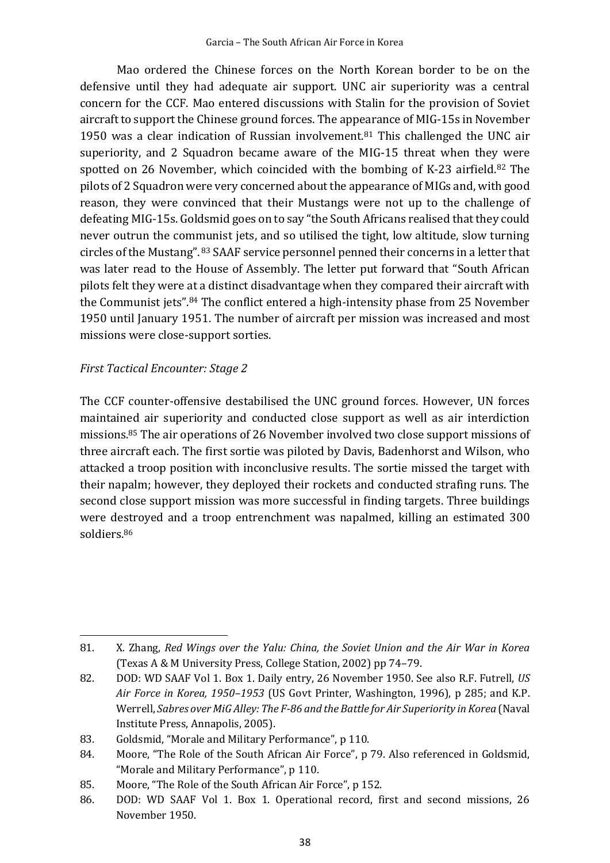Mao ordered the Chinese forces on the North Korean border to be on the defensive until they had adequate air support. UNC air superiority was a central concern for the CCF. Mao entered discussions with Stalin for the provision of Soviet aircraft to support the Chinese ground forces. The appearance of MIG-15s in November 1950 was a clear indication of Russian involvement.<sup>81</sup> This challenged the UNC air superiority, and 2 Squadron became aware of the MIG-15 threat when they were spotted on 26 November, which coincided with the bombing of K-23 airfield.<sup>82</sup> The pilots of 2 Squadron were very concerned about the appearance of MIGs and, with good reason, they were convinced that their Mustangs were not up to the challenge of defeating MIG-15s. Goldsmid goes on to say "the South Africans realised that they could never outrun the communist jets, and so utilised the tight, low altitude, slow turning circles of the Mustang". <sup>83</sup> SAAF service personnel penned their concerns in a letter that was later read to the House of Assembly. The letter put forward that "South African pilots felt they were at a distinct disadvantage when they compared their aircraft with the Communist jets". <sup>84</sup> The conflict entered a high-intensity phase from 25 November 1950 until January 1951. The number of aircraft per mission was increased and most missions were close-support sorties.

## *First Tactical Encounter: Stage 2*

The CCF counter-offensive destabilised the UNC ground forces. However, UN forces maintained air superiority and conducted close support as well as air interdiction missions.<sup>85</sup> The air operations of 26 November involved two close support missions of three aircraft each. The first sortie was piloted by Davis, Badenhorst and Wilson, who attacked a troop position with inconclusive results. The sortie missed the target with their napalm; however, they deployed their rockets and conducted strafing runs. The second close support mission was more successful in finding targets. Three buildings were destroyed and a troop entrenchment was napalmed, killing an estimated 300 soldiers.<sup>86</sup>

<sup>81.</sup> X. Zhang, *Red Wings over the Yalu: China, the Soviet Union and the Air War in Korea*  (Texas A & M University Press, College Station, 2002) pp 74–79.

<sup>82.</sup> DOD: WD SAAF Vol 1. Box 1. Daily entry, 26 November 1950. See also R.F. Futrell, *US Air Force in Korea, 1950–1953* (US Govt Printer, Washington, 1996), p 285; and K.P. Werrell, *Sabres over MiG Alley: The F-86 and the Battle for Air Superiority in Korea* (Naval Institute Press, Annapolis, 2005).

<sup>83.</sup> Goldsmid, "Morale and Military Performance", p 110.

<sup>84.</sup> Moore, "The Role of the South African Air Force", p 79. Also referenced in Goldsmid, "Morale and Military Performance", p 110.

<sup>85.</sup> Moore, "The Role of the South African Air Force", p 152.

<sup>86.</sup> DOD: WD SAAF Vol 1. Box 1. Operational record, first and second missions, 26 November 1950.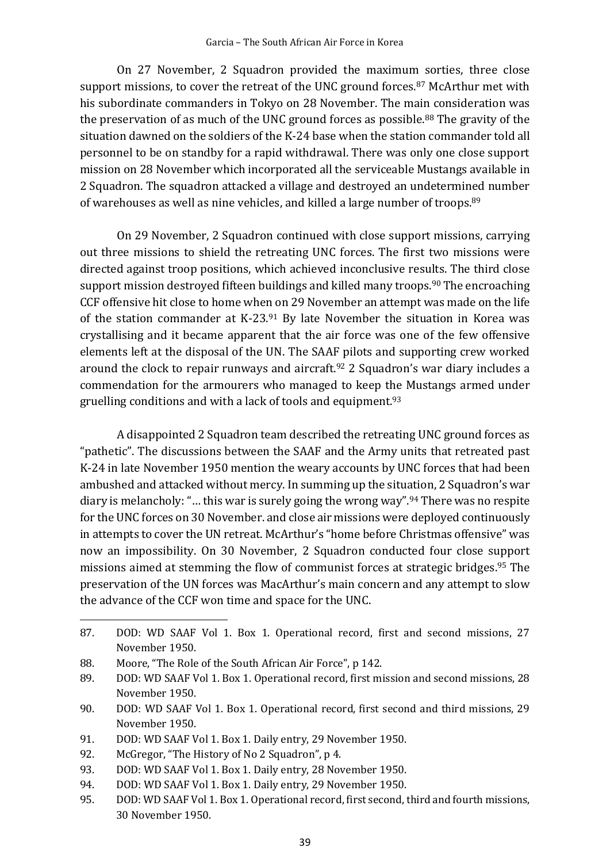On 27 November, 2 Squadron provided the maximum sorties, three close support missions, to cover the retreat of the UNC ground forces.<sup>87</sup> McArthur met with his subordinate commanders in Tokyo on 28 November. The main consideration was the preservation of as much of the UNC ground forces as possible.<sup>88</sup> The gravity of the situation dawned on the soldiers of the K-24 base when the station commander told all personnel to be on standby for a rapid withdrawal. There was only one close support mission on 28 November which incorporated all the serviceable Mustangs available in 2 Squadron. The squadron attacked a village and destroyed an undetermined number of warehouses as well as nine vehicles, and killed a large number of troops.<sup>89</sup>

On 29 November, 2 Squadron continued with close support missions, carrying out three missions to shield the retreating UNC forces. The first two missions were directed against troop positions, which achieved inconclusive results. The third close support mission destroyed fifteen buildings and killed many troops.<sup>90</sup> The encroaching CCF offensive hit close to home when on 29 November an attempt was made on the life of the station commander at  $K-23.91$  By late November the situation in Korea was crystallising and it became apparent that the air force was one of the few offensive elements left at the disposal of the UN. The SAAF pilots and supporting crew worked around the clock to repair runways and aircraft. <sup>92</sup> 2 Squadron's war diary includes a commendation for the armourers who managed to keep the Mustangs armed under gruelling conditions and with a lack of tools and equipment.<sup>93</sup>

A disappointed 2 Squadron team described the retreating UNC ground forces as "pathetic". The discussions between the SAAF and the Army units that retreated past K-24 in late November 1950 mention the weary accounts by UNC forces that had been ambushed and attacked without mercy. In summing up the situation, 2 Squadron's war diary is melancholy:"… this war is surely going the wrong way".<sup>94</sup> There was no respite for the UNC forces on 30 November. and close air missions were deployed continuously in attempts to cover the UN retreat. McArthur's "home before Christmas offensive" was now an impossibility. On 30 November, 2 Squadron conducted four close support missions aimed at stemming the flow of communist forces at strategic bridges. <sup>95</sup> The preservation of the UN forces was MacArthur's main concern and any attempt to slow the advance of the CCF won time and space for the UNC.

- 89. DOD: WD SAAF Vol 1. Box 1. Operational record, first mission and second missions, 28 November 1950.
- 90. DOD: WD SAAF Vol 1. Box 1. Operational record, first second and third missions, 29 November 1950.
- 91. DOD: WD SAAF Vol 1. Box 1. Daily entry, 29 November 1950.
- 92. McGregor, "The History of No 2 Squadron", p 4.
- 93. DOD: WD SAAF Vol 1. Box 1. Daily entry, 28 November 1950.
- 94. DOD: WD SAAF Vol 1. Box 1. Daily entry, 29 November 1950.
- 95. DOD: WD SAAF Vol 1. Box 1. Operational record, first second, third and fourth missions, 30 November 1950.

<sup>87.</sup> DOD: WD SAAF Vol 1. Box 1. Operational record, first and second missions, 27 November 1950.

<sup>88.</sup> Moore, "The Role of the South African Air Force", p 142.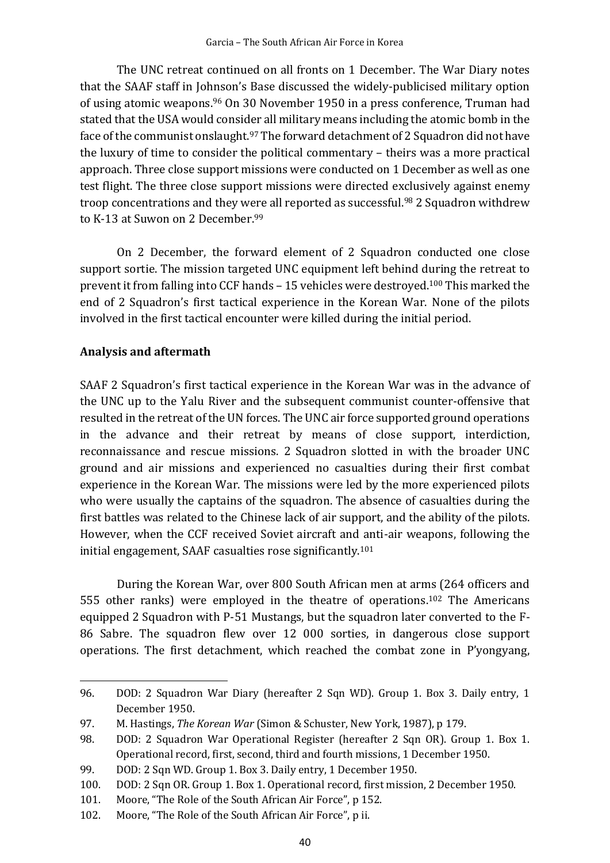The UNC retreat continued on all fronts on 1 December. The War Diary notes that the SAAF staff in Johnson's Base discussed the widely-publicised military option of using atomic weapons. <sup>96</sup> On 30 November 1950 in a press conference, Truman had stated that the USA would consider all military means including the atomic bomb in the face of the communist onslaught.<sup>97</sup> The forward detachment of 2 Squadron did not have the luxury of time to consider the political commentary – theirs was a more practical approach. Three close support missions were conducted on 1 December as well as one test flight. The three close support missions were directed exclusively against enemy troop concentrations and they were all reported as successful.<sup>98</sup> 2 Squadron withdrew to K-13 at Suwon on 2 December.<sup>99</sup>

On 2 December, the forward element of 2 Squadron conducted one close support sortie. The mission targeted UNC equipment left behind during the retreat to prevent it from falling into CCF hands – 15 vehicles were destroyed.<sup>100</sup> This marked the end of 2 Squadron's first tactical experience in the Korean War. None of the pilots involved in the first tactical encounter were killed during the initial period.

## **Analysis and aftermath**

SAAF 2 Squadron's first tactical experience in the Korean War was in the advance of the UNC up to the Yalu River and the subsequent communist counter-offensive that resulted in the retreat of the UN forces. The UNC air force supported ground operations in the advance and their retreat by means of close support, interdiction, reconnaissance and rescue missions. 2 Squadron slotted in with the broader UNC ground and air missions and experienced no casualties during their first combat experience in the Korean War. The missions were led by the more experienced pilots who were usually the captains of the squadron. The absence of casualties during the first battles was related to the Chinese lack of air support, and the ability of the pilots. However, when the CCF received Soviet aircraft and anti-air weapons, following the initial engagement, SAAF casualties rose significantly.<sup>101</sup>

During the Korean War, over 800 South African men at arms (264 officers and 555 other ranks) were employed in the theatre of operations.<sup>102</sup> The Americans equipped 2 Squadron with P-51 Mustangs, but the squadron later converted to the F-86 Sabre. The squadron flew over 12 000 sorties, in dangerous close support operations. The first detachment, which reached the combat zone in P'yongyang,

<sup>96.</sup> DOD: 2 Squadron War Diary (hereafter 2 Sqn WD). Group 1. Box 3. Daily entry, 1 December 1950.

<sup>97.</sup> M. Hastings, *The Korean War* (Simon & Schuster, New York, 1987), p 179.

<sup>98.</sup> DOD: 2 Squadron War Operational Register (hereafter 2 Sqn OR). Group 1. Box 1. Operational record, first, second, third and fourth missions, 1 December 1950.

<sup>99.</sup> DOD: 2 Sqn WD. Group 1. Box 3. Daily entry, 1 December 1950.

<sup>100.</sup> DOD: 2 Sqn OR. Group 1. Box 1. Operational record, first mission, 2 December 1950.

<sup>101.</sup> Moore, "The Role of the South African Air Force", p 152.

<sup>102.</sup> Moore, "The Role of the South African Air Force", p ii.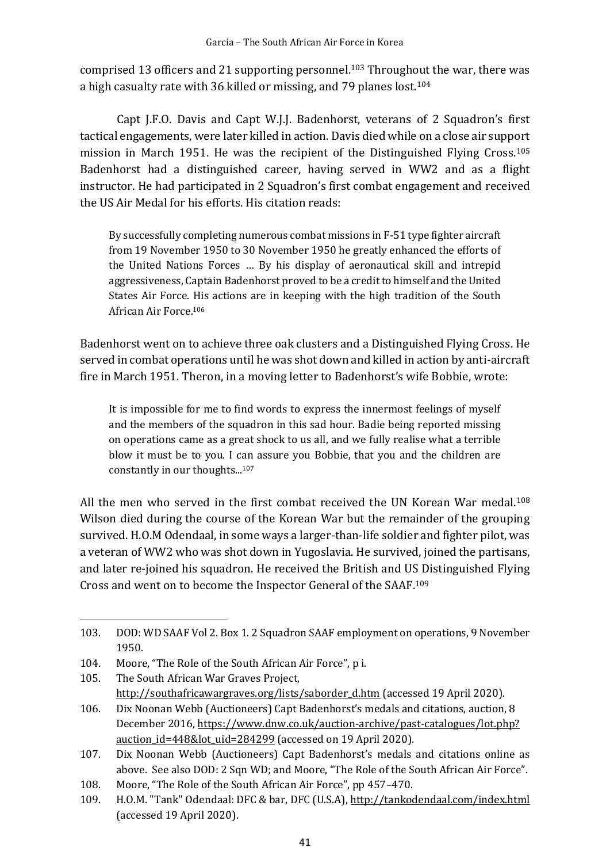comprised 13 officers and 21 supporting personnel.<sup>103</sup> Throughout the war, there was a high casualty rate with 36 killed or missing, and 79 planes lost.<sup>104</sup>

Capt J.F.O. Davis and Capt W.J.J. Badenhorst, veterans of 2 Squadron's first tactical engagements, were later killed in action. Davis died while on a close air support mission in March 1951. He was the recipient of the Distinguished Flying Cross.<sup>105</sup> Badenhorst had a distinguished career, having served in WW2 and as a flight instructor. He had participated in 2 Squadron's first combat engagement and received the US Air Medal for his efforts. His citation reads:

By successfully completing numerous combat missions in F-51 type fighter aircraft from 19 November 1950 to 30 November 1950 he greatly enhanced the efforts of the United Nations Forces … By his display of aeronautical skill and intrepid aggressiveness, Captain Badenhorst proved to be a credit to himself and the United States Air Force. His actions are in keeping with the high tradition of the South African Air Force.<sup>106</sup>

Badenhorst went on to achieve three oak clusters and a Distinguished Flying Cross. He served in combat operations until he was shot down and killed in action by anti-aircraft fire in March 1951. Theron, in a moving letter to Badenhorst's wife Bobbie, wrote:

It is impossible for me to find words to express the innermost feelings of myself and the members of the squadron in this sad hour. Badie being reported missing on operations came as a great shock to us all, and we fully realise what a terrible blow it must be to you. I can assure you Bobbie, that you and the children are constantly in our thoughts...<sup>107</sup>

All the men who served in the first combat received the UN Korean War medal.<sup>108</sup> Wilson died during the course of the Korean War but the remainder of the grouping survived. H.O.M Odendaal, in some ways a larger-than-life soldier and fighter pilot, was a veteran of WW2 who was shot down in Yugoslavia. He survived, joined the partisans, and later re-joined his squadron. He received the British and US Distinguished Flying Cross and went on to become the Inspector General of the SAAF.<sup>109</sup>

<sup>103.</sup> DOD: WD SAAF Vol 2. Box 1. 2 Squadron SAAF employment on operations, 9 November 1950.

<sup>104.</sup> Moore, "The Role of the South African Air Force", p i.

<sup>105.</sup> The South African War Graves Project, [http://southafricawargraves.org/lists/saborder\\_d.htm](about:blank) (accessed 19 April 2020).

<sup>106.</sup> Dix Noonan Webb (Auctioneers) Capt Badenhorst's medals and citations, auction, 8 December 2016, https://www.dnw.co.uk/auction-archive/past-catalogues/lot.php? auction id=448&lot uid=284299 (accessed on 19 April 2020).

<sup>107.</sup> Dix Noonan Webb (Auctioneers) Capt Badenhorst's medals and citations online as above. See also DOD: 2 Sqn WD; and Moore, "The Role of the South African Air Force".

<sup>108.</sup> Moore, "The Role of the South African Air Force", pp 457–470.

<sup>109.</sup> H.O.M. "Tank" Odendaal: DFC & bar, DFC (U.S.A), [http://tankodendaal.com/index.html](about:blank) (accessed 19 April 2020).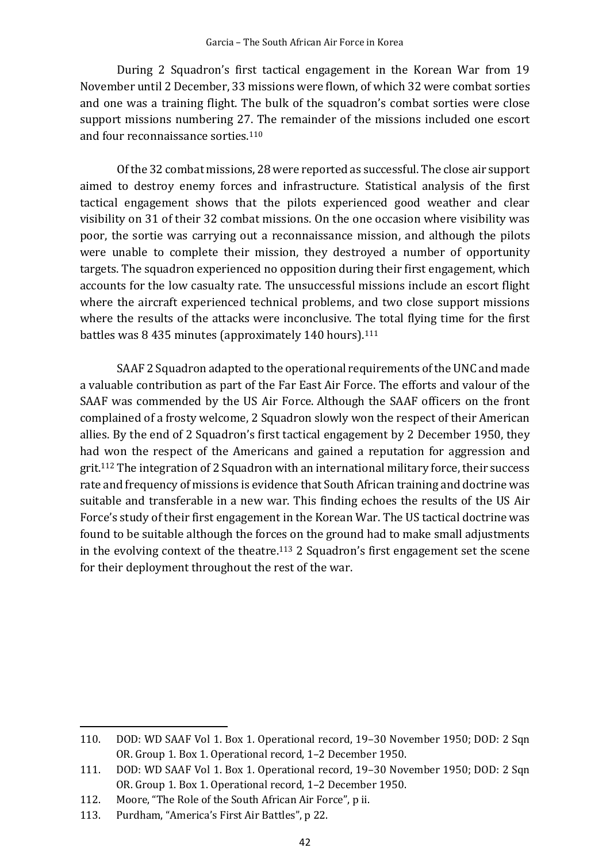During 2 Squadron's first tactical engagement in the Korean War from 19 November until 2 December, 33 missions were flown, of which 32 were combat sorties and one was a training flight. The bulk of the squadron's combat sorties were close support missions numbering 27. The remainder of the missions included one escort and four reconnaissance sorties. 110

Of the 32 combat missions, 28 were reported as successful. The close air support aimed to destroy enemy forces and infrastructure. Statistical analysis of the first tactical engagement shows that the pilots experienced good weather and clear visibility on 31 of their 32 combat missions. On the one occasion where visibility was poor, the sortie was carrying out a reconnaissance mission, and although the pilots were unable to complete their mission, they destroyed a number of opportunity targets. The squadron experienced no opposition during their first engagement, which accounts for the low casualty rate. The unsuccessful missions include an escort flight where the aircraft experienced technical problems, and two close support missions where the results of the attacks were inconclusive. The total flying time for the first battles was 8 435 minutes (approximately 140 hours). 111

SAAF 2 Squadron adapted to the operational requirements of the UNC and made a valuable contribution as part of the Far East Air Force. The efforts and valour of the SAAF was commended by the US Air Force. Although the SAAF officers on the front complained of a frosty welcome, 2 Squadron slowly won the respect of their American allies. By the end of 2 Squadron's first tactical engagement by 2 December 1950, they had won the respect of the Americans and gained a reputation for aggression and grit.<sup>112</sup> The integration of 2 Squadron with an international military force, their success rate and frequency of missions is evidence that South African training and doctrine was suitable and transferable in a new war. This finding echoes the results of the US Air Force's study of their first engagement in the Korean War. The US tactical doctrine was found to be suitable although the forces on the ground had to make small adjustments in the evolving context of the theatre. <sup>113</sup> 2 Squadron's first engagement set the scene for their deployment throughout the rest of the war.

<sup>110.</sup> DOD: WD SAAF Vol 1. Box 1. Operational record, 19–30 November 1950; DOD: 2 Sqn OR. Group 1. Box 1. Operational record, 1–2 December 1950.

<sup>111.</sup> DOD: WD SAAF Vol 1. Box 1. Operational record, 19–30 November 1950; DOD: 2 Sqn OR. Group 1. Box 1. Operational record, 1–2 December 1950.

<sup>112.</sup> Moore, "The Role of the South African Air Force", p ii.

<sup>113.</sup> Purdham, "America's First Air Battles", p 22.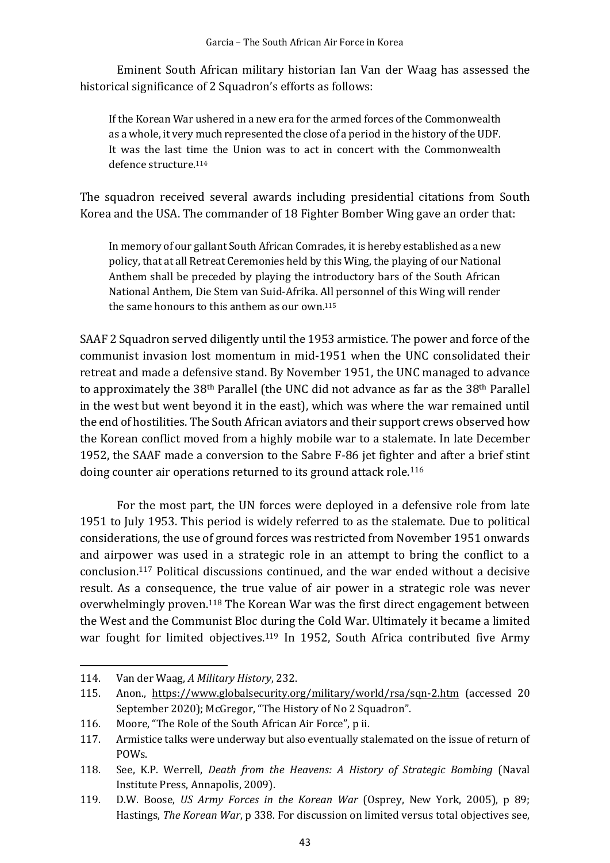Eminent South African military historian Ian Van der Waag has assessed the historical significance of 2 Squadron's efforts as follows:

If the Korean War ushered in a new era for the armed forces of the Commonwealth as a whole, it very much represented the close of a period in the history of the UDF. It was the last time the Union was to act in concert with the Commonwealth defence structure.<sup>114</sup>

The squadron received several awards including presidential citations from South Korea and the USA. The commander of 18 Fighter Bomber Wing gave an order that:

In memory of our gallant South African Comrades, it is hereby established as a new policy, that at all Retreat Ceremonies held by this Wing, the playing of our National Anthem shall be preceded by playing the introductory bars of the South African National Anthem, Die Stem van Suid-Afrika. All personnel of this Wing will render the same honours to this anthem as our own. 115

SAAF 2 Squadron served diligently until the 1953 armistice. The power and force of the communist invasion lost momentum in mid-1951 when the UNC consolidated their retreat and made a defensive stand. By November 1951, the UNC managed to advance to approximately the 38th Parallel (the UNC did not advance as far as the 38th Parallel in the west but went beyond it in the east), which was where the war remained until the end of hostilities. The South African aviators and their support crews observed how the Korean conflict moved from a highly mobile war to a stalemate. In late December 1952, the SAAF made a conversion to the Sabre F-86 jet fighter and after a brief stint doing counter air operations returned to its ground attack role.<sup>116</sup>

For the most part, the UN forces were deployed in a defensive role from late 1951 to July 1953. This period is widely referred to as the stalemate. Due to political considerations, the use of ground forces was restricted from November 1951 onwards and airpower was used in a strategic role in an attempt to bring the conflict to a conclusion. <sup>117</sup> Political discussions continued, and the war ended without a decisive result. As a consequence, the true value of air power in a strategic role was never overwhelmingly proven.<sup>118</sup> The Korean War was the first direct engagement between the West and the Communist Bloc during the Cold War. Ultimately it became a limited war fought for limited objectives.<sup>119</sup> In 1952, South Africa contributed five Army

<sup>114.</sup> Van der Waag, *A Military History*, 232.

<sup>115.</sup> Anon., https://www.globalsecurity.org/military/world/rsa/sqn-2.htm (accessed 20 September 2020); McGregor, "The History of No 2 Squadron".

<sup>116.</sup> Moore, "The Role of the South African Air Force", p ii.

<sup>117.</sup> Armistice talks were underway but also eventually stalemated on the issue of return of POWs.

<sup>118.</sup> See, K.P. Werrell, *Death from the Heavens: A History of Strategic Bombing* (Naval Institute Press, Annapolis, 2009).

<sup>119.</sup> D.W. Boose, *US Army Forces in the Korean War* (Osprey, New York, 2005), p 89; Hastings, *The Korean War*, p 338. For discussion on limited versus total objectives see,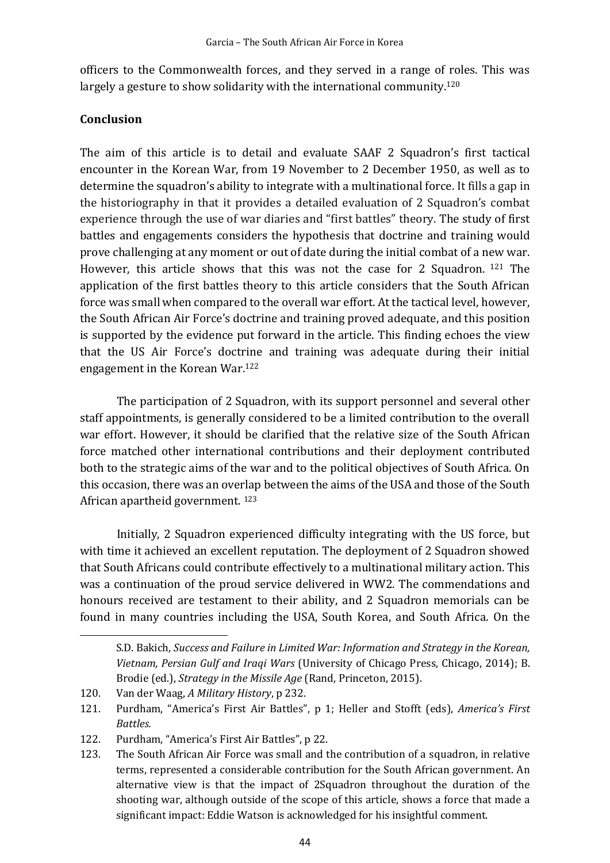officers to the Commonwealth forces, and they served in a range of roles. This was largely a gesture to show solidarity with the international community.<sup>120</sup>

#### **Conclusion**

The aim of this article is to detail and evaluate SAAF 2 Squadron's first tactical encounter in the Korean War, from 19 November to 2 December 1950, as well as to determine the squadron's ability to integrate with a multinational force. It fills a gap in the historiography in that it provides a detailed evaluation of 2 Squadron's combat experience through the use of war diaries and "first battles" theory. The study of first battles and engagements considers the hypothesis that doctrine and training would prove challenging at any moment or out of date during the initial combat of a new war. However, this article shows that this was not the case for 2 Squadron. <sup>121</sup> The application of the first battles theory to this article considers that the South African force was small when compared to the overall war effort. At the tactical level, however, the South African Air Force's doctrine and training proved adequate, and this position is supported by the evidence put forward in the article. This finding echoes the view that the US Air Force's doctrine and training was adequate during their initial engagement in the Korean War.<sup>122</sup>

The participation of 2 Squadron, with its support personnel and several other staff appointments, is generally considered to be a limited contribution to the overall war effort. However, it should be clarified that the relative size of the South African force matched other international contributions and their deployment contributed both to the strategic aims of the war and to the political objectives of South Africa. On this occasion, there was an overlap between the aims of the USA and those of the South African apartheid government. <sup>123</sup>

Initially, 2 Squadron experienced difficulty integrating with the US force, but with time it achieved an excellent reputation. The deployment of 2 Squadron showed that South Africans could contribute effectively to a multinational military action. This was a continuation of the proud service delivered in WW2. The commendations and honours received are testament to their ability, and 2 Squadron memorials can be found in many countries including the USA, South Korea, and South Africa. On the

S.D. Bakich, *Success and Failure in Limited War: Information and Strategy in the Korean, Vietnam, Persian Gulf and Iraqi Wars* (University of Chicago Press, Chicago, 2014); B. Brodie (ed.), *Strategy in the Missile Age* (Rand, Princeton, 2015).

<sup>120.</sup> Van der Waag, *A Military History*, p 232.

<sup>121.</sup> Purdham, "America's First Air Battles", p 1; Heller and Stofft (eds), *America's First Battles.*

<sup>122.</sup> Purdham, "America's First Air Battles", p 22.

<sup>123.</sup> The South African Air Force was small and the contribution of a squadron, in relative terms, represented a considerable contribution for the South African government. An alternative view is that the impact of 2Squadron throughout the duration of the shooting war, although outside of the scope of this article, shows a force that made a significant impact: Eddie Watson is acknowledged for his insightful comment.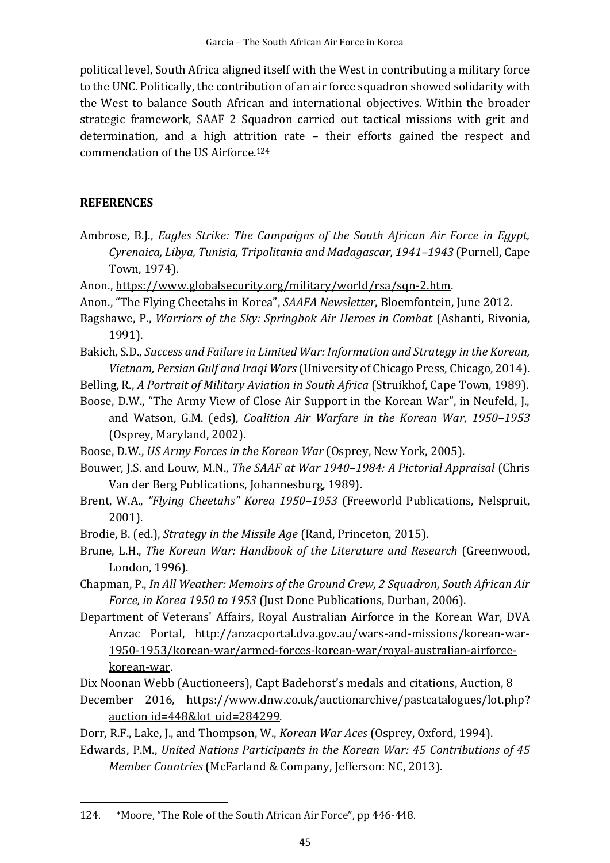political level, South Africa aligned itself with the West in contributing a military force to the UNC. Politically, the contribution of an air force squadron showed solidarity with the West to balance South African and international objectives. Within the broader strategic framework, SAAF 2 Squadron carried out tactical missions with grit and determination, and a high attrition rate – their efforts gained the respect and commendation of the US Airforce.<sup>124</sup>

## **REFERENCES**

- Ambrose, B.J., *Eagles Strike: The Campaigns of the South African Air Force in Egypt, Cyrenaica, Libya, Tunisia, Tripolitania and Madagascar, 1941–1943* (Purnell, Cape Town, 1974).
- Anon., https://www.globalsecurity.org/military/world/rsa/sqn-2.htm.
- Anon., "The Flying Cheetahs in Korea", *SAAFA Newsletter*, Bloemfontein, June 2012.
- Bagshawe, P., *Warriors of the Sky: Springbok Air Heroes in Combat* (Ashanti, Rivonia, 1991).
- Bakich, S.D., *Success and Failure in Limited War: Information and Strategy in the Korean, Vietnam, Persian Gulf and Iraqi Wars* (University of Chicago Press, Chicago, 2014).
- Belling, R., *A Portrait of Military Aviation in South Africa* (Struikhof, Cape Town, 1989).
- Boose, D.W., "The Army View of Close Air Support in the Korean War", in Neufeld, J., and Watson, G.M. (eds), *Coalition Air Warfare in the Korean War, 1950–1953*  (Osprey, Maryland, 2002).
- Boose, D.W., *US Army Forces in the Korean War* (Osprey, New York, 2005).
- Bouwer, J.S. and Louw, M.N., *The SAAF at War 1940–1984: A Pictorial Appraisal* (Chris Van der Berg Publications, Johannesburg, 1989).
- Brent, W.A., *"Flying Cheetahs" Korea 1950–1953* (Freeworld Publications, Nelspruit, 2001).
- Brodie, B. (ed.), *Strategy in the Missile Age* (Rand, Princeton, 2015).
- Brune, L.H., *The Korean War: Handbook of the Literature and Research* (Greenwood, London, 1996).

Chapman, P., *In All Weather: Memoirs of the Ground Crew, 2 Squadron, South African Air Force, in Korea 1950 to 1953* (Just Done Publications, Durban, 2006).

Department of Veterans' Affairs, Royal Australian Airforce in the Korean War, DVA Anzac Portal, http://anzacportal.dva.gov.au/wars-and-missions/korean-war-1950-1953/korean-war/armed-forces-korean-war/royal-australian-airforcekorean-war.

Dix Noonan Webb (Auctioneers), Capt Badehorst's medals and citations, Auction, 8 December 2016, https://www.dnw.co.uk/auctionarchive/pastcatalogues/lot.php?

auction id=448&lot uid=284299.

Dorr, R.F., Lake, J., and Thompson, W., *Korean War Aces* (Osprey, Oxford, 1994).

Edwards, P.M., *United Nations Participants in the Korean War: 45 Contributions of 45 Member Countries* (McFarland & Company, Jefferson: NC, 2013).

<sup>124.</sup> \*Moore, "The Role of the South African Air Force", pp 446-448.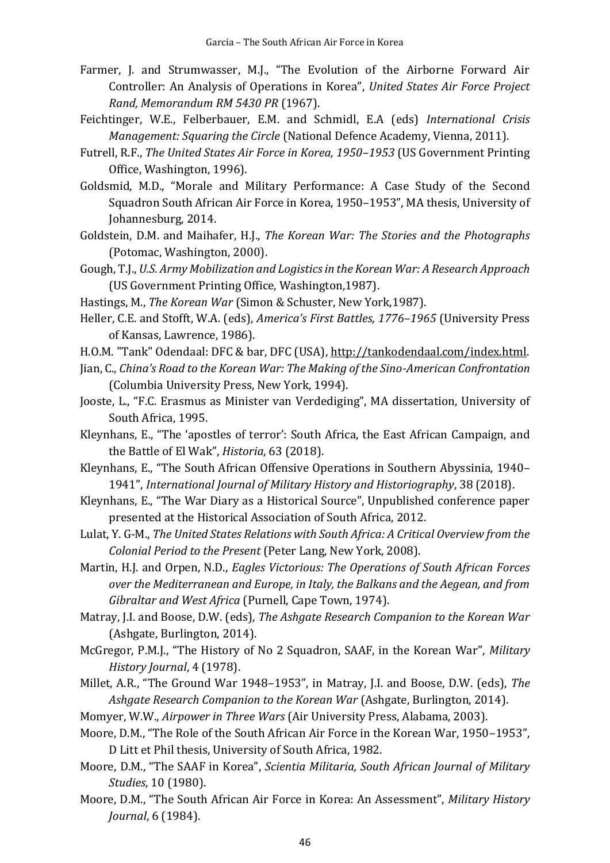- Farmer, J. and Strumwasser, M.J., "The Evolution of the Airborne Forward Air Controller: An Analysis of Operations in Korea", *United States Air Force Project Rand, Memorandum RM 5430 PR* (1967).
- Feichtinger, W.E., Felberbauer, E.M. and Schmidl, E.A (eds) *International Crisis Management: Squaring the Circle* (National Defence Academy, Vienna, 2011).
- Futrell, R.F., *The United States Air Force in Korea, 1950–1953* (US Government Printing Office, Washington, 1996).
- Goldsmid, M.D., "Morale and Military Performance: A Case Study of the Second Squadron South African Air Force in Korea, 1950–1953", MA thesis, University of Johannesburg, 2014.
- Goldstein, D.M. and Maihafer, H.J., *The Korean War: The Stories and the Photographs* (Potomac, Washington, 2000).
- Gough, T.J., *U.S. Army Mobilization and Logistics in the Korean War: A Research Approach* (US Government Printing Office, Washington,1987).
- Hastings, M., *The Korean War* (Simon & Schuster, New York,1987).
- Heller, C.E. and Stofft, W.A. (eds), *America's First Battles, 1776–1965* (University Press of Kansas, Lawrence, 1986).
- H.O.M. "Tank" Odendaal: DFC & bar, DFC (USA), [http://tankodendaal.com/index.html.](about:blank)
- Jian, C., *China's Road to the Korean War: The Making of the Sino-American Confrontation* (Columbia University Press, New York, 1994).
- Jooste, L., "F.C. Erasmus as Minister van Verdediging", MA dissertation, University of South Africa, 1995.
- Kleynhans, E., "The 'apostles of terror': South Africa, the East African Campaign, and the Battle of El Wak", *Historia*, 63 (2018).
- Kleynhans, E., "The South African Offensive Operations in Southern Abyssinia, 1940– 1941", *International Journal of Military History and Historiography*, 38 (2018).
- Kleynhans, E., "The War Diary as a Historical Source", Unpublished conference paper presented at the Historical Association of South Africa, 2012.
- Lulat, Y. G-M., *The United States Relations with South Africa: A Critical Overview from the Colonial Period to the Present* (Peter Lang, New York, 2008).
- Martin, H.J. and Orpen, N.D., *Eagles Victorious: The Operations of South African Forces over the Mediterranean and Europe, in Italy, the Balkans and the Aegean, and from Gibraltar and West Africa* (Purnell, Cape Town, 1974).
- Matray, J.I. and Boose, D.W. (eds), *The Ashgate Research Companion to the Korean War*  (Ashgate, Burlington, 2014).
- McGregor, P.M.J., "The History of No 2 Squadron, SAAF, in the Korean War", *Military History Journal*, 4 (1978).
- Millet, A.R., "The Ground War 1948–1953", in Matray, J.I. and Boose, D.W. (eds), *The Ashgate Research Companion to the Korean War* (Ashgate, Burlington, 2014).
- Momyer, W.W., *Airpower in Three Wars* (Air University Press, Alabama, 2003).
- Moore, D.M., "The Role of the South African Air Force in the Korean War, 1950–1953", D Litt et Phil thesis, University of South Africa, 1982.
- Moore, D.M., "The SAAF in Korea", *Scientia Militaria, South African Journal of Military Studies*, 10 (1980).
- Moore, D.M., "The South African Air Force in Korea: An Assessment", *Military History Journal*, 6 (1984).